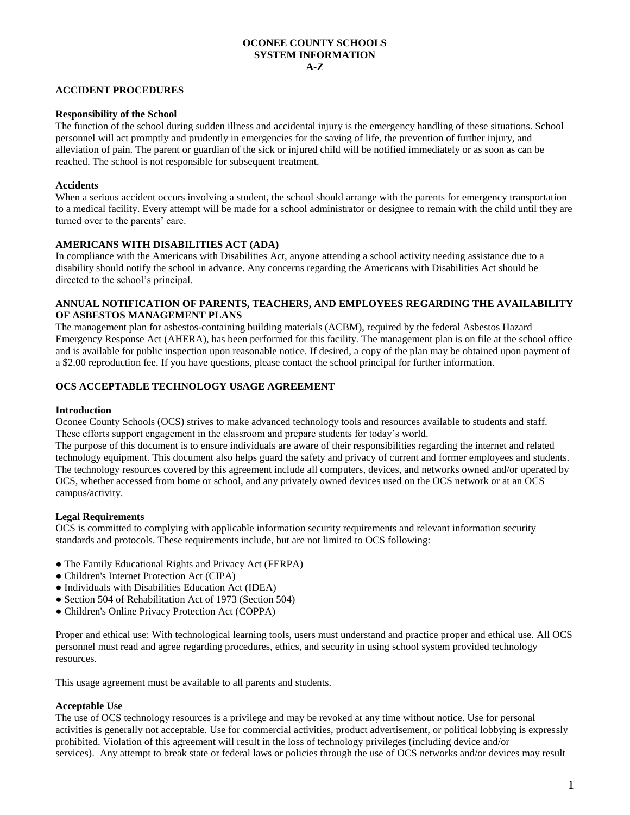#### **OCONEE COUNTY SCHOOLS SYSTEM INFORMATION A-Z**

### **ACCIDENT PROCEDURES**

#### **Responsibility of the School**

The function of the school during sudden illness and accidental injury is the emergency handling of these situations. School personnel will act promptly and prudently in emergencies for the saving of life, the prevention of further injury, and alleviation of pain. The parent or guardian of the sick or injured child will be notified immediately or as soon as can be reached. The school is not responsible for subsequent treatment.

#### **Accidents**

When a serious accident occurs involving a student, the school should arrange with the parents for emergency transportation to a medical facility. Every attempt will be made for a school administrator or designee to remain with the child until they are turned over to the parents' care.

#### **AMERICANS WITH DISABILITIES ACT (ADA)**

In compliance with the Americans with Disabilities Act, anyone attending a school activity needing assistance due to a disability should notify the school in advance. Any concerns regarding the Americans with Disabilities Act should be directed to the school's principal.

#### **ANNUAL NOTIFICATION OF PARENTS, TEACHERS, AND EMPLOYEES REGARDING THE AVAILABILITY OF ASBESTOS MANAGEMENT PLANS**

The management plan for asbestos-containing building materials (ACBM), required by the federal Asbestos Hazard Emergency Response Act (AHERA), has been performed for this facility. The management plan is on file at the school office and is available for public inspection upon reasonable notice. If desired, a copy of the plan may be obtained upon payment of a \$2.00 reproduction fee. If you have questions, please contact the school principal for further information.

#### **OCS ACCEPTABLE TECHNOLOGY USAGE AGREEMENT**

#### **Introduction**

Oconee County Schools (OCS) strives to make advanced technology tools and resources available to students and staff. These efforts support engagement in the classroom and prepare students for today's world.

The purpose of this document is to ensure individuals are aware of their responsibilities regarding the internet and related technology equipment. This document also helps guard the safety and privacy of current and former employees and students. The technology resources covered by this agreement include all computers, devices, and networks owned and/or operated by OCS, whether accessed from home or school, and any privately owned devices used on the OCS network or at an OCS campus/activity.

#### **Legal Requirements**

OCS is committed to complying with applicable information security requirements and relevant information security standards and protocols. These requirements include, but are not limited to OCS following:

- The Family Educational Rights and Privacy Act (FERPA)
- Children's Internet Protection Act (CIPA)
- Individuals with Disabilities Education Act (IDEA)
- Section 504 of Rehabilitation Act of 1973 (Section 504)
- Children's Online Privacy Protection Act (COPPA)

Proper and ethical use: With technological learning tools, users must understand and practice proper and ethical use. All OCS personnel must read and agree regarding procedures, ethics, and security in using school system provided technology resources.

This usage agreement must be available to all parents and students.

#### **Acceptable Use**

The use of OCS technology resources is a privilege and may be revoked at any time without notice. Use for personal activities is generally not acceptable. Use for commercial activities, product advertisement, or political lobbying is expressly prohibited. Violation of this agreement will result in the loss of technology privileges (including device and/or services). Any attempt to break state or federal laws or policies through the use of OCS networks and/or devices may result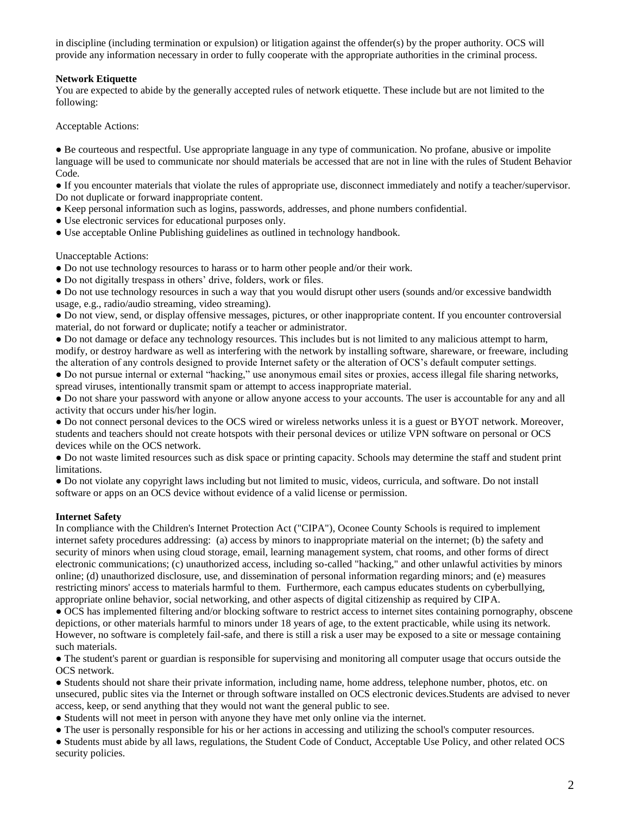in discipline (including termination or expulsion) or litigation against the offender(s) by the proper authority. OCS will provide any information necessary in order to fully cooperate with the appropriate authorities in the criminal process.

## **Network Etiquette**

You are expected to abide by the generally accepted rules of network etiquette. These include but are not limited to the following:

Acceptable Actions:

● Be courteous and respectful. Use appropriate language in any type of communication. No profane, abusive or impolite language will be used to communicate nor should materials be accessed that are not in line with the rules of Student Behavior Code*.*

● If you encounter materials that violate the rules of appropriate use, disconnect immediately and notify a teacher/supervisor. Do not duplicate or forward inappropriate content.

- Keep personal information such as logins, passwords, addresses, and phone numbers confidential.
- Use electronic services for educational purposes only.
- Use acceptable Online Publishing guidelines as outlined in technology handbook.

#### Unacceptable Actions:

● Do not use technology resources to harass or to harm other people and/or their work.

• Do not digitally trespass in others' drive, folders, work or files.

● Do not use technology resources in such a way that you would disrupt other users (sounds and/or excessive bandwidth usage, e.g., radio/audio streaming, video streaming).

● Do not view, send, or display offensive messages, pictures, or other inappropriate content. If you encounter controversial material, do not forward or duplicate; notify a teacher or administrator.

● Do not damage or deface any technology resources. This includes but is not limited to any malicious attempt to harm, modify, or destroy hardware as well as interfering with the network by installing software, shareware, or freeware, including the alteration of any controls designed to provide Internet safety or the alteration of OCS's default computer settings.

● Do not pursue internal or external "hacking," use anonymous email sites or proxies, access illegal file sharing networks, spread viruses, intentionally transmit spam or attempt to access inappropriate material.

● Do not share your password with anyone or allow anyone access to your accounts. The user is accountable for any and all activity that occurs under his/her login.

● Do not connect personal devices to the OCS wired or wireless networks unless it is a guest or BYOT network. Moreover, students and teachers should not create hotspots with their personal devices or utilize VPN software on personal or OCS devices while on the OCS network.

● Do not waste limited resources such as disk space or printing capacity. Schools may determine the staff and student print limitations.

● Do not violate any copyright laws including but not limited to music, videos, curricula, and software. Do not install software or apps on an OCS device without evidence of a valid license or permission.

### **Internet Safety**

In compliance with the Children's Internet Protection Act ("CIPA"), Oconee County Schools is required to implement internet safety procedures addressing: (a) access by minors to inappropriate material on the internet; (b) the safety and security of minors when using cloud storage, email, learning management system, chat rooms, and other forms of direct electronic communications; (c) unauthorized access, including so-called "hacking," and other unlawful activities by minors online; (d) unauthorized disclosure, use, and dissemination of personal information regarding minors; and (e) measures restricting minors' access to materials harmful to them. Furthermore, each campus educates students on cyberbullying, appropriate online behavior, social networking, and other aspects of digital citizenship as required by CIPA.

● OCS has implemented filtering and/or blocking software to restrict access to internet sites containing pornography, obscene depictions, or other materials harmful to minors under 18 years of age, to the extent practicable, while using its network. However, no software is completely fail-safe, and there is still a risk a user may be exposed to a site or message containing such materials.

● The student's parent or guardian is responsible for supervising and monitoring all computer usage that occurs outside the OCS network.

● Students should not share their private information, including name, home address, telephone number, photos, etc. on unsecured, public sites via the Internet or through software installed on OCS electronic devices.Students are advised to never access, keep, or send anything that they would not want the general public to see.

● Students will not meet in person with anyone they have met only online via the internet.

● The user is personally responsible for his or her actions in accessing and utilizing the school's computer resources.

● Students must abide by all laws, regulations, the Student Code of Conduct, Acceptable Use Policy, and other related OCS security policies.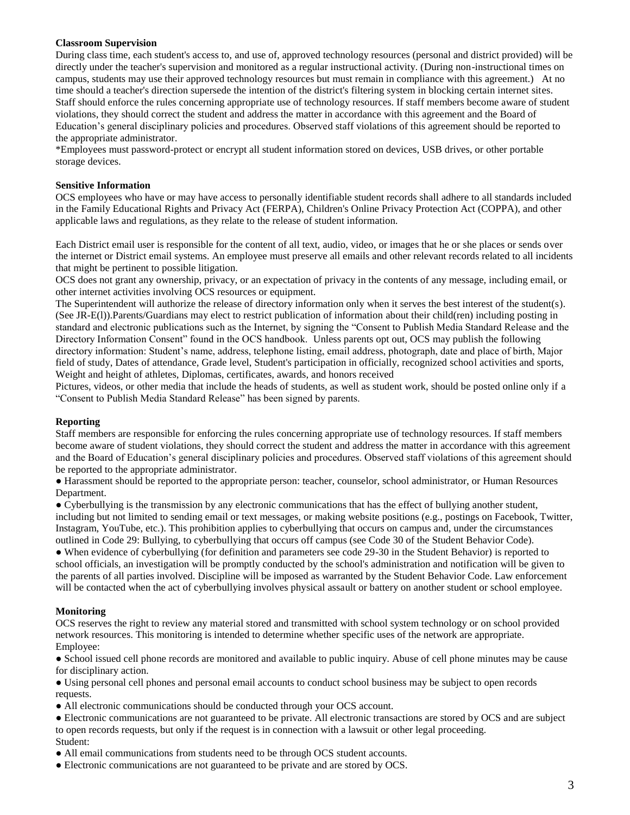### **Classroom Supervision**

During class time, each student's access to, and use of, approved technology resources (personal and district provided) will be directly under the teacher's supervision and monitored as a regular instructional activity. (During non-instructional times on campus, students may use their approved technology resources but must remain in compliance with this agreement.) At no time should a teacher's direction supersede the intention of the district's filtering system in blocking certain internet sites. Staff should enforce the rules concerning appropriate use of technology resources. If staff members become aware of student violations, they should correct the student and address the matter in accordance with this agreement and the Board of Education's general disciplinary policies and procedures. Observed staff violations of this agreement should be reported to the appropriate administrator.

\*Employees must password-protect or encrypt all student information stored on devices, USB drives, or other portable storage devices.

## **Sensitive Information**

OCS employees who have or may have access to personally identifiable student records shall adhere to all standards included in the Family Educational Rights and Privacy Act (FERPA), Children's Online Privacy Protection Act (COPPA), and other applicable laws and regulations, as they relate to the release of student information.

Each District email user is responsible for the content of all text, audio, video, or images that he or she places or sends over the internet or District email systems. An employee must preserve all emails and other relevant records related to all incidents that might be pertinent to possible litigation.

OCS does not grant any ownership, privacy, or an expectation of privacy in the contents of any message, including email, or other internet activities involving OCS resources or equipment.

The Superintendent will authorize the release of directory information only when it serves the best interest of the student(s). (See JR-E(l)).Parents/Guardians may elect to restrict publication of information about their child(ren) including posting in standard and electronic publications such as the Internet, by signing the "Consent to Publish Media Standard Release and the Directory Information Consent" found in the OCS handbook. Unless parents opt out, OCS may publish the following directory information: Student's name, address, telephone listing, email address, photograph, date and place of birth, Major field of study, Dates of attendance, Grade level, Student's participation in officially, recognized school activities and sports, Weight and height of athletes, Diplomas, certificates, awards, and honors received

Pictures, videos, or other media that include the heads of students, as well as student work, should be posted online only if a "Consent to Publish Media Standard Release" has been signed by parents.

# **Reporting**

Staff members are responsible for enforcing the rules concerning appropriate use of technology resources. If staff members become aware of student violations, they should correct the student and address the matter in accordance with this agreement and the Board of Education's general disciplinary policies and procedures. Observed staff violations of this agreement should be reported to the appropriate administrator.

● Harassment should be reported to the appropriate person: teacher, counselor, school administrator, or Human Resources Department.

● Cyberbullying is the transmission by any electronic communications that has the effect of bullying another student, including but not limited to sending email or text messages, or making website positions (e.g., postings on Facebook, Twitter, Instagram, YouTube, etc.). This prohibition applies to cyberbullying that occurs on campus and, under the circumstances outlined in Code 29: Bullying, to cyberbullying that occurs off campus (see Code 30 of the Student Behavior Code).

● When evidence of cyberbullying (for definition and parameters see code 29-30 in the Student Behavior) is reported to school officials, an investigation will be promptly conducted by the school's administration and notification will be given to the parents of all parties involved. Discipline will be imposed as warranted by the Student Behavior Code. Law enforcement will be contacted when the act of cyberbullying involves physical assault or battery on another student or school employee.

# **Monitoring**

OCS reserves the right to review any material stored and transmitted with school system technology or on school provided network resources. This monitoring is intended to determine whether specific uses of the network are appropriate. Employee:

● School issued cell phone records are monitored and available to public inquiry. Abuse of cell phone minutes may be cause for disciplinary action.

● Using personal cell phones and personal email accounts to conduct school business may be subject to open records requests.

● All electronic communications should be conducted through your OCS account.

● Electronic communications are not guaranteed to be private. All electronic transactions are stored by OCS and are subject to open records requests, but only if the request is in connection with a lawsuit or other legal proceeding. Student:

● All email communications from students need to be through OCS student accounts.

● Electronic communications are not guaranteed to be private and are stored by OCS.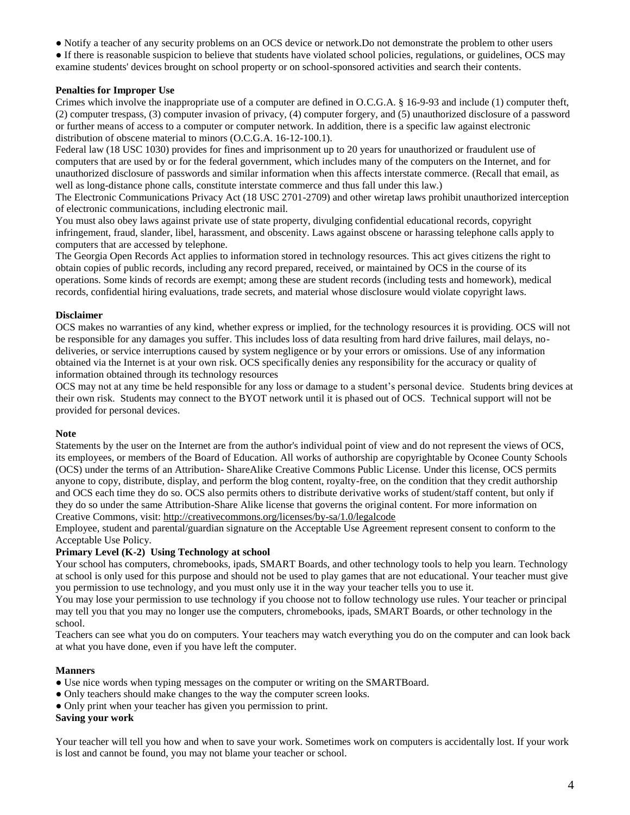- Notify a teacher of any security problems on an OCS device or network.Do not demonstrate the problem to other users
- If there is reasonable suspicion to believe that students have violated school policies, regulations, or guidelines, OCS may examine students' devices brought on school property or on school-sponsored activities and search their contents.

## **Penalties for Improper Use**

Crimes which involve the inappropriate use of a computer are defined in O.C.G.A. § 16-9-93 and include (1) computer theft, (2) computer trespass, (3) computer invasion of privacy, (4) computer forgery, and (5) unauthorized disclosure of a password or further means of access to a computer or computer network. In addition, there is a specific law against electronic distribution of obscene material to minors (O.C.G.A. 16-12-100.1).

Federal law (18 USC 1030) provides for fines and imprisonment up to 20 years for unauthorized or fraudulent use of computers that are used by or for the federal government, which includes many of the computers on the Internet, and for unauthorized disclosure of passwords and similar information when this affects interstate commerce. (Recall that email, as well as long-distance phone calls, constitute interstate commerce and thus fall under this law.)

The Electronic Communications Privacy Act (18 USC 2701-2709) and other wiretap laws prohibit unauthorized interception of electronic communications, including electronic mail.

You must also obey laws against private use of state property, divulging confidential educational records, copyright infringement, fraud, slander, libel, harassment, and obscenity. Laws against obscene or harassing telephone calls apply to computers that are accessed by telephone.

The Georgia Open Records Act applies to information stored in technology resources. This act gives citizens the right to obtain copies of public records, including any record prepared, received, or maintained by OCS in the course of its operations. Some kinds of records are exempt; among these are student records (including tests and homework), medical records, confidential hiring evaluations, trade secrets, and material whose disclosure would violate copyright laws.

### **Disclaimer**

OCS makes no warranties of any kind, whether express or implied, for the technology resources it is providing. OCS will not be responsible for any damages you suffer. This includes loss of data resulting from hard drive failures, mail delays, nodeliveries, or service interruptions caused by system negligence or by your errors or omissions. Use of any information obtained via the Internet is at your own risk. OCS specifically denies any responsibility for the accuracy or quality of information obtained through its technology resources

OCS may not at any time be held responsible for any loss or damage to a student's personal device. Students bring devices at their own risk. Students may connect to the BYOT network until it is phased out of OCS. Technical support will not be provided for personal devices.

### **Note**

Statements by the user on the Internet are from the author's individual point of view and do not represent the views of OCS, its employees, or members of the Board of Education. All works of authorship are copyrightable by Oconee County Schools (OCS) under the terms of an Attribution- ShareAlike Creative Commons Public License. Under this license, OCS permits anyone to copy, distribute, display, and perform the blog content, royalty-free, on the condition that they credit authorship and OCS each time they do so. OCS also permits others to distribute derivative works of student/staff content, but only if they do so under the same Attribution-Share Alike license that governs the original content. For more information on Creative Commons, visit: <http://creativecommons.org/licenses/by-sa/1.0/legalcode>

Employee, student and parental/guardian signature on the Acceptable Use Agreement represent consent to conform to the Acceptable Use Policy.

# **Primary Level (K-2) Using Technology at school**

Your school has computers, chromebooks, ipads, SMART Boards, and other technology tools to help you learn. Technology at school is only used for this purpose and should not be used to play games that are not educational. Your teacher must give you permission to use technology, and you must only use it in the way your teacher tells you to use it.

You may lose your permission to use technology if you choose not to follow technology use rules. Your teacher or principal may tell you that you may no longer use the computers, chromebooks, ipads, SMART Boards, or other technology in the school.

Teachers can see what you do on computers. Your teachers may watch everything you do on the computer and can look back at what you have done, even if you have left the computer.

### **Manners**

- Use nice words when typing messages on the computer or writing on the SMARTBoard.
- Only teachers should make changes to the way the computer screen looks.
- Only print when your teacher has given you permission to print.

### **Saving your work**

Your teacher will tell you how and when to save your work. Sometimes work on computers is accidentally lost. If your work is lost and cannot be found, you may not blame your teacher or school.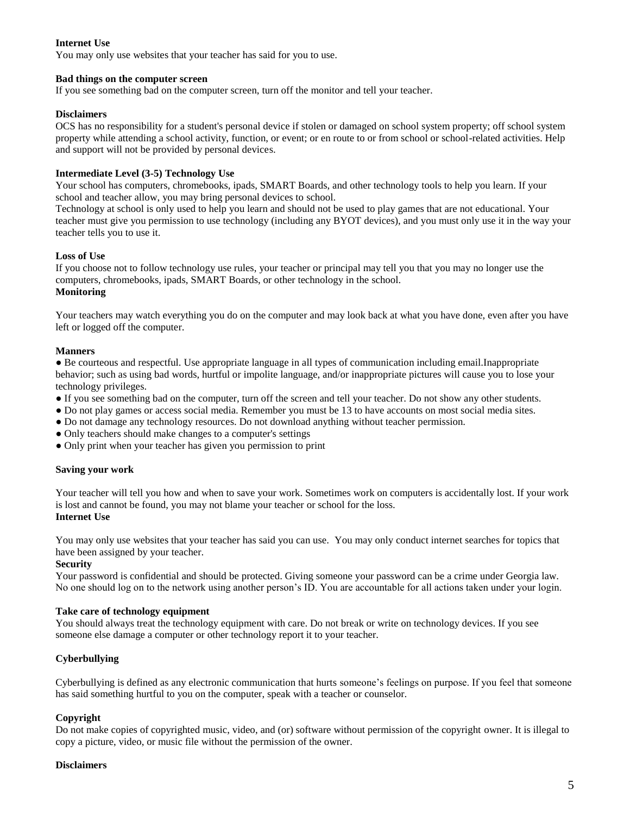# **Internet Use**

You may only use websites that your teacher has said for you to use.

#### **Bad things on the computer screen**

If you see something bad on the computer screen, turn off the monitor and tell your teacher.

#### **Disclaimers**

OCS has no responsibility for a student's personal device if stolen or damaged on school system property; off school system property while attending a school activity, function, or event; or en route to or from school or school-related activities. Help and support will not be provided by personal devices.

### **Intermediate Level (3-5) Technology Use**

Your school has computers, chromebooks, ipads, SMART Boards, and other technology tools to help you learn. If your school and teacher allow, you may bring personal devices to school.

Technology at school is only used to help you learn and should not be used to play games that are not educational. Your teacher must give you permission to use technology (including any BYOT devices), and you must only use it in the way your teacher tells you to use it.

#### **Loss of Use**

If you choose not to follow technology use rules, your teacher or principal may tell you that you may no longer use the computers, chromebooks, ipads, SMART Boards, or other technology in the school. **Monitoring**

Your teachers may watch everything you do on the computer and may look back at what you have done, even after you have left or logged off the computer.

#### **Manners**

● Be courteous and respectful. Use appropriate language in all types of communication including email.Inappropriate behavior; such as using bad words, hurtful or impolite language, and/or inappropriate pictures will cause you to lose your technology privileges.

- If you see something bad on the computer, turn off the screen and tell your teacher. Do not show any other students.
- Do not play games or access social media. Remember you must be 13 to have accounts on most social media sites.
- Do not damage any technology resources. Do not download anything without teacher permission.
- Only teachers should make changes to a computer's settings
- Only print when your teacher has given you permission to print

### **Saving your work**

Your teacher will tell you how and when to save your work. Sometimes work on computers is accidentally lost. If your work is lost and cannot be found, you may not blame your teacher or school for the loss.

#### **Internet Use**

You may only use websites that your teacher has said you can use. You may only conduct internet searches for topics that have been assigned by your teacher.

#### **Security**

Your password is confidential and should be protected. Giving someone your password can be a crime under Georgia law. No one should log on to the network using another person's ID. You are accountable for all actions taken under your login.

#### **Take care of technology equipment**

You should always treat the technology equipment with care. Do not break or write on technology devices. If you see someone else damage a computer or other technology report it to your teacher.

### **Cyberbullying**

Cyberbullying is defined as any electronic communication that hurts someone's feelings on purpose. If you feel that someone has said something hurtful to you on the computer, speak with a teacher or counselor.

### **Copyright**

Do not make copies of copyrighted music, video, and (or) software without permission of the copyright owner. It is illegal to copy a picture, video, or music file without the permission of the owner.

#### **Disclaimers**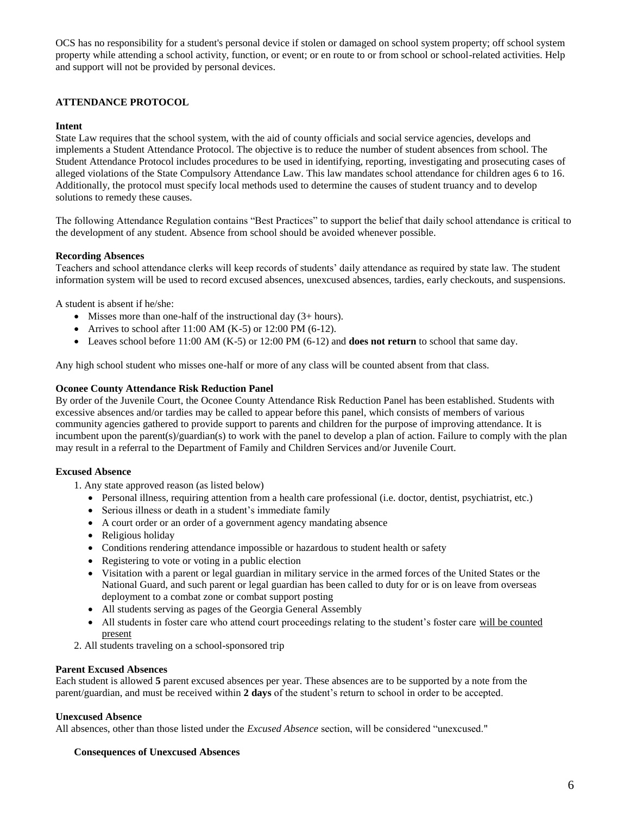OCS has no responsibility for a student's personal device if stolen or damaged on school system property; off school system property while attending a school activity, function, or event; or en route to or from school or school-related activities. Help and support will not be provided by personal devices.

# **ATTENDANCE PROTOCOL**

#### **Intent**

State Law requires that the school system, with the aid of county officials and social service agencies, develops and implements a Student Attendance Protocol. The objective is to reduce the number of student absences from school. The Student Attendance Protocol includes procedures to be used in identifying, reporting, investigating and prosecuting cases of alleged violations of the State Compulsory Attendance Law. This law mandates school attendance for children ages 6 to 16. Additionally, the protocol must specify local methods used to determine the causes of student truancy and to develop solutions to remedy these causes.

The following Attendance Regulation contains "Best Practices" to support the belief that daily school attendance is critical to the development of any student. Absence from school should be avoided whenever possible.

#### **Recording Absences**

Teachers and school attendance clerks will keep records of students' daily attendance as required by state law. The student information system will be used to record excused absences, unexcused absences, tardies, early checkouts, and suspensions.

A student is absent if he/she:

- Misses more than one-half of the instructional day (3+ hours).
- Arrives to school after  $11:00$  AM (K-5) or  $12:00$  PM (6-12).
- Leaves school before 11:00 AM (K-5) or 12:00 PM (6-12) and **does not return** to school that same day.

Any high school student who misses one-half or more of any class will be counted absent from that class.

#### **Oconee County Attendance Risk Reduction Panel**

By order of the Juvenile Court, the Oconee County Attendance Risk Reduction Panel has been established. Students with excessive absences and/or tardies may be called to appear before this panel, which consists of members of various community agencies gathered to provide support to parents and children for the purpose of improving attendance. It is incumbent upon the parent(s)/guardian(s) to work with the panel to develop a plan of action. Failure to comply with the plan may result in a referral to the Department of Family and Children Services and/or Juvenile Court.

#### **Excused Absence**

- 1. Any state approved reason (as listed below)
	- Personal illness, requiring attention from a health care professional (i.e. doctor, dentist, psychiatrist, etc.)
	- Serious illness or death in a student's immediate family
	- A court order or an order of a government agency mandating absence
	- Religious holiday
	- Conditions rendering attendance impossible or hazardous to student health or safety
	- Registering to vote or voting in a public election
	- Visitation with a parent or legal guardian in military service in the armed forces of the United States or the National Guard, and such parent or legal guardian has been called to duty for or is on leave from overseas deployment to a combat zone or combat support posting
	- All students serving as pages of the Georgia General Assembly
	- All students in foster care who attend court proceedings relating to the student's foster care will be counted present
- 2. All students traveling on a school-sponsored trip

#### **Parent Excused Absences**

Each student is allowed **5** parent excused absences per year. These absences are to be supported by a note from the parent/guardian, and must be received within **2 days** of the student's return to school in order to be accepted.

#### **Unexcused Absence**

All absences, other than those listed under the *Excused Absence* section, will be considered "unexcused."

#### **Consequences of Unexcused Absences**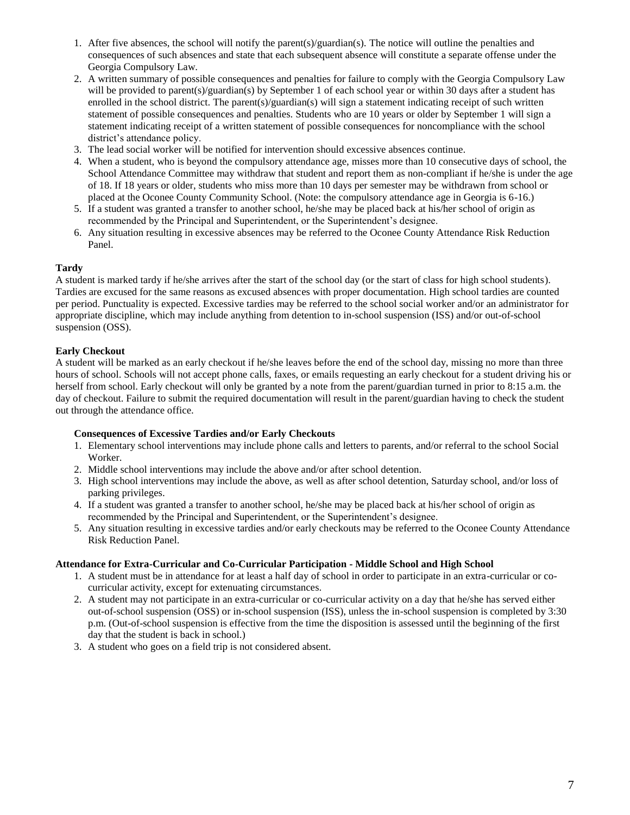- 1. After five absences, the school will notify the parent(s)/guardian(s). The notice will outline the penalties and consequences of such absences and state that each subsequent absence will constitute a separate offense under the Georgia Compulsory Law.
- 2. A written summary of possible consequences and penalties for failure to comply with the Georgia Compulsory Law will be provided to parent(s)/guardian(s) by September 1 of each school year or within 30 days after a student has enrolled in the school district. The parent(s)/guardian(s) will sign a statement indicating receipt of such written statement of possible consequences and penalties. Students who are 10 years or older by September 1 will sign a statement indicating receipt of a written statement of possible consequences for noncompliance with the school district's attendance policy.
- 3. The lead social worker will be notified for intervention should excessive absences continue.
- 4. When a student, who is beyond the compulsory attendance age, misses more than 10 consecutive days of school, the School Attendance Committee may withdraw that student and report them as non-compliant if he/she is under the age of 18. If 18 years or older, students who miss more than 10 days per semester may be withdrawn from school or placed at the Oconee County Community School. (Note: the compulsory attendance age in Georgia is 6-16.)
- 5. If a student was granted a transfer to another school, he/she may be placed back at his/her school of origin as recommended by the Principal and Superintendent, or the Superintendent's designee.
- 6. Any situation resulting in excessive absences may be referred to the Oconee County Attendance Risk Reduction Panel.

### **Tardy**

A student is marked tardy if he/she arrives after the start of the school day (or the start of class for high school students). Tardies are excused for the same reasons as excused absences with proper documentation. High school tardies are counted per period. Punctuality is expected. Excessive tardies may be referred to the school social worker and/or an administrator for appropriate discipline, which may include anything from detention to in-school suspension (ISS) and/or out-of-school suspension (OSS).

### **Early Checkout**

A student will be marked as an early checkout if he/she leaves before the end of the school day, missing no more than three hours of school. Schools will not accept phone calls, faxes, or emails requesting an early checkout for a student driving his or herself from school. Early checkout will only be granted by a note from the parent/guardian turned in prior to 8:15 a.m. the day of checkout. Failure to submit the required documentation will result in the parent/guardian having to check the student out through the attendance office.

### **Consequences of Excessive Tardies and/or Early Checkouts**

- 1. Elementary school interventions may include phone calls and letters to parents, and/or referral to the school Social Worker.
- 2. Middle school interventions may include the above and/or after school detention.
- 3. High school interventions may include the above, as well as after school detention, Saturday school, and/or loss of parking privileges.
- 4. If a student was granted a transfer to another school, he/she may be placed back at his/her school of origin as recommended by the Principal and Superintendent, or the Superintendent's designee.
- 5. Any situation resulting in excessive tardies and/or early checkouts may be referred to the Oconee County Attendance Risk Reduction Panel.

### **Attendance for Extra-Curricular and Co-Curricular Participation - Middle School and High School**

- 1. A student must be in attendance for at least a half day of school in order to participate in an extra-curricular or cocurricular activity, except for extenuating circumstances.
- 2. A student may not participate in an extra-curricular or co-curricular activity on a day that he/she has served either out-of-school suspension (OSS) or in-school suspension (ISS), unless the in-school suspension is completed by 3:30 p.m. (Out-of-school suspension is effective from the time the disposition is assessed until the beginning of the first day that the student is back in school.)
- 3. A student who goes on a field trip is not considered absent.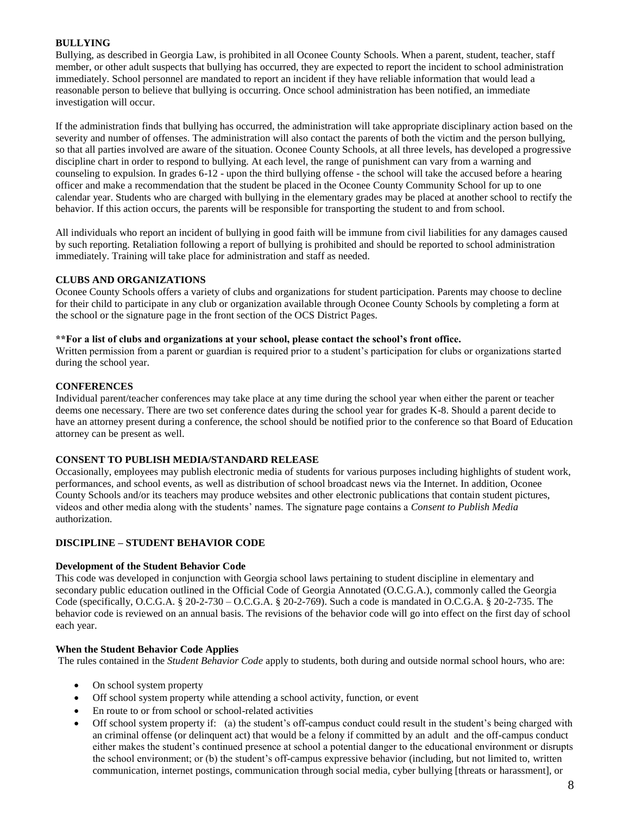# **BULLYING**

Bullying, as described in Georgia Law, is prohibited in all Oconee County Schools. When a parent, student, teacher, staff member, or other adult suspects that bullying has occurred, they are expected to report the incident to school administration immediately. School personnel are mandated to report an incident if they have reliable information that would lead a reasonable person to believe that bullying is occurring. Once school administration has been notified, an immediate investigation will occur.

If the administration finds that bullying has occurred, the administration will take appropriate disciplinary action based on the severity and number of offenses. The administration will also contact the parents of both the victim and the person bullying, so that all parties involved are aware of the situation. Oconee County Schools, at all three levels, has developed a progressive discipline chart in order to respond to bullying. At each level, the range of punishment can vary from a warning and counseling to expulsion. In grades 6-12 - upon the third bullying offense - the school will take the accused before a hearing officer and make a recommendation that the student be placed in the Oconee County Community School for up to one calendar year. Students who are charged with bullying in the elementary grades may be placed at another school to rectify the behavior. If this action occurs, the parents will be responsible for transporting the student to and from school.

All individuals who report an incident of bullying in good faith will be immune from civil liabilities for any damages caused by such reporting. Retaliation following a report of bullying is prohibited and should be reported to school administration immediately. Training will take place for administration and staff as needed.

### **CLUBS AND ORGANIZATIONS**

Oconee County Schools offers a variety of clubs and organizations for student participation. Parents may choose to decline for their child to participate in any club or organization available through Oconee County Schools by completing a form at the school or the signature page in the front section of the OCS District Pages.

#### **\*\*For a list of clubs and organizations at your school, please contact the school's front office.**

Written permission from a parent or guardian is required prior to a student's participation for clubs or organizations started during the school year.

#### **CONFERENCES**

Individual parent/teacher conferences may take place at any time during the school year when either the parent or teacher deems one necessary. There are two set conference dates during the school year for grades K-8. Should a parent decide to have an attorney present during a conference, the school should be notified prior to the conference so that Board of Education attorney can be present as well.

### **CONSENT TO PUBLISH MEDIA/STANDARD RELEASE**

Occasionally, employees may publish electronic media of students for various purposes including highlights of student work, performances, and school events, as well as distribution of school broadcast news via the Internet. In addition, Oconee County Schools and/or its teachers may produce websites and other electronic publications that contain student pictures, videos and other media along with the students' names. The signature page contains a *Consent to Publish Media* authorization.

### **DISCIPLINE – STUDENT BEHAVIOR CODE**

#### **Development of the Student Behavior Code**

This code was developed in conjunction with Georgia school laws pertaining to student discipline in elementary and secondary public education outlined in the Official Code of Georgia Annotated (O.C.G.A.), commonly called the Georgia Code (specifically, O.C.G.A. § 20-2-730 – O.C.G.A. § 20-2-769). Such a code is mandated in O.C.G.A. § 20-2-735. The behavior code is reviewed on an annual basis. The revisions of the behavior code will go into effect on the first day of school each year.

#### **When the Student Behavior Code Applies**

The rules contained in the *Student Behavior Code* apply to students, both during and outside normal school hours, who are:

- On school system property
- Off school system property while attending a school activity, function, or event
- En route to or from school or school-related activities
- Off school system property if: (a) the student's off-campus conduct could result in the student's being charged with an criminal offense (or delinquent act) that would be a felony if committed by an adult and the off-campus conduct either makes the student's continued presence at school a potential danger to the educational environment or disrupts the school environment; or (b) the student's off-campus expressive behavior (including, but not limited to, written communication, internet postings, communication through social media, cyber bullying [threats or harassment], or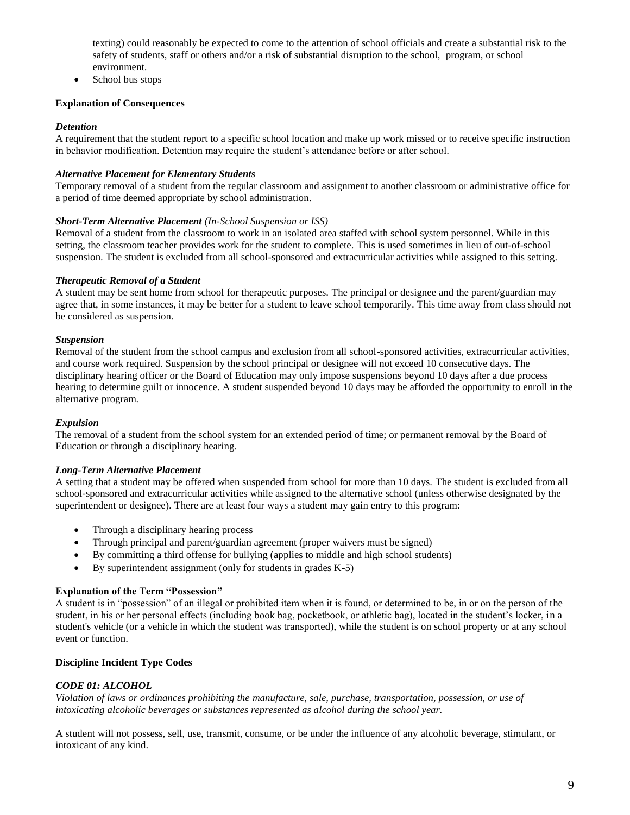texting) could reasonably be expected to come to the attention of school officials and create a substantial risk to the safety of students, staff or others and/or a risk of substantial disruption to the school, program, or school environment.

School bus stops

## **Explanation of Consequences**

# *Detention*

A requirement that the student report to a specific school location and make up work missed or to receive specific instruction in behavior modification. Detention may require the student's attendance before or after school.

## *Alternative Placement for Elementary Students*

Temporary removal of a student from the regular classroom and assignment to another classroom or administrative office for a period of time deemed appropriate by school administration.

### *Short-Term Alternative Placement (In-School Suspension or ISS)*

Removal of a student from the classroom to work in an isolated area staffed with school system personnel. While in this setting, the classroom teacher provides work for the student to complete. This is used sometimes in lieu of out-of-school suspension. The student is excluded from all school-sponsored and extracurricular activities while assigned to this setting.

# *Therapeutic Removal of a Student*

A student may be sent home from school for therapeutic purposes. The principal or designee and the parent/guardian may agree that, in some instances, it may be better for a student to leave school temporarily. This time away from class should not be considered as suspension.

# *Suspension*

Removal of the student from the school campus and exclusion from all school-sponsored activities, extracurricular activities, and course work required. Suspension by the school principal or designee will not exceed 10 consecutive days. The disciplinary hearing officer or the Board of Education may only impose suspensions beyond 10 days after a due process hearing to determine guilt or innocence. A student suspended beyond 10 days may be afforded the opportunity to enroll in the alternative program.

### *Expulsion*

The removal of a student from the school system for an extended period of time; or permanent removal by the Board of Education or through a disciplinary hearing.

### *Long-Term Alternative Placement*

A setting that a student may be offered when suspended from school for more than 10 days. The student is excluded from all school-sponsored and extracurricular activities while assigned to the alternative school (unless otherwise designated by the superintendent or designee). There are at least four ways a student may gain entry to this program:

- Through a disciplinary hearing process
- Through principal and parent/guardian agreement (proper waivers must be signed)
- By committing a third offense for bullying (applies to middle and high school students)
- By superintendent assignment (only for students in grades K-5)

# **Explanation of the Term "Possession"**

A student is in "possession" of an illegal or prohibited item when it is found, or determined to be, in or on the person of the student, in his or her personal effects (including book bag, pocketbook, or athletic bag), located in the student's locker, in a student's vehicle (or a vehicle in which the student was transported), while the student is on school property or at any school event or function.

# **Discipline Incident Type Codes**

# *CODE 01: ALCOHOL*

*Violation of laws or ordinances prohibiting the manufacture, sale, purchase, transportation, possession, or use of intoxicating alcoholic beverages or substances represented as alcohol during the school year.*

A student will not possess, sell, use, transmit, consume, or be under the influence of any alcoholic beverage, stimulant, or intoxicant of any kind.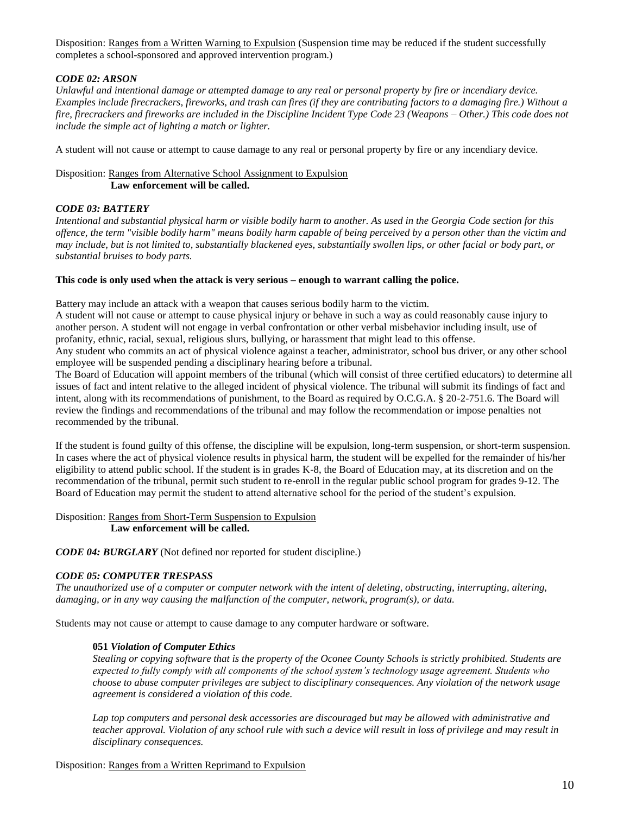Disposition: Ranges from a Written Warning to Expulsion (Suspension time may be reduced if the student successfully completes a school-sponsored and approved intervention program.)

# *CODE 02: ARSON*

*Unlawful and intentional damage or attempted damage to any real or personal property by fire or incendiary device. Examples include firecrackers, fireworks, and trash can fires (if they are contributing factors to a damaging fire.) Without a fire, firecrackers and fireworks are included in the Discipline Incident Type Code 23 (Weapons – Other.) This code does not include the simple act of lighting a match or lighter.*

A student will not cause or attempt to cause damage to any real or personal property by fire or any incendiary device.

# Disposition: Ranges from Alternative School Assignment to Expulsion **Law enforcement will be called.**

# *CODE 03: BATTERY*

*Intentional and substantial physical harm or visible bodily harm to another. As used in the Georgia Code section for this offence, the term "visible bodily harm" means bodily harm capable of being perceived by a person other than the victim and may include, but is not limited to, substantially blackened eyes, substantially swollen lips, or other facial or body part, or substantial bruises to body parts.*

# **This code is only used when the attack is very serious – enough to warrant calling the police.**

Battery may include an attack with a weapon that causes serious bodily harm to the victim.

A student will not cause or attempt to cause physical injury or behave in such a way as could reasonably cause injury to another person. A student will not engage in verbal confrontation or other verbal misbehavior including insult, use of profanity, ethnic, racial, sexual, religious slurs, bullying, or harassment that might lead to this offense.

Any student who commits an act of physical violence against a teacher, administrator, school bus driver, or any other school employee will be suspended pending a disciplinary hearing before a tribunal.

The Board of Education will appoint members of the tribunal (which will consist of three certified educators) to determine all issues of fact and intent relative to the alleged incident of physical violence. The tribunal will submit its findings of fact and intent, along with its recommendations of punishment, to the Board as required by O.C.G.A. § 20-2-751.6. The Board will review the findings and recommendations of the tribunal and may follow the recommendation or impose penalties not recommended by the tribunal.

If the student is found guilty of this offense, the discipline will be expulsion, long-term suspension, or short-term suspension. In cases where the act of physical violence results in physical harm, the student will be expelled for the remainder of his/her eligibility to attend public school. If the student is in grades K-8, the Board of Education may, at its discretion and on the recommendation of the tribunal, permit such student to re-enroll in the regular public school program for grades 9-12. The Board of Education may permit the student to attend alternative school for the period of the student's expulsion.

Disposition: Ranges from Short-Term Suspension to Expulsion **Law enforcement will be called.**

*CODE 04: BURGLARY* (Not defined nor reported for student discipline.)

# *CODE 05: COMPUTER TRESPASS*

*The unauthorized use of a computer or computer network with the intent of deleting, obstructing, interrupting, altering, damaging, or in any way causing the malfunction of the computer, network, program(s), or data.*

Students may not cause or attempt to cause damage to any computer hardware or software.

# **051** *Violation of Computer Ethics*

*Stealing or copying software that is the property of the Oconee County Schools is strictly prohibited. Students are expected to fully comply with all components of the school system's technology usage agreement. Students who choose to abuse computer privileges are subject to disciplinary consequences. Any violation of the network usage agreement is considered a violation of this code.*

*Lap top computers and personal desk accessories are discouraged but may be allowed with administrative and teacher approval. Violation of any school rule with such a device will result in loss of privilege and may result in disciplinary consequences.*

### Disposition: Ranges from a Written Reprimand to Expulsion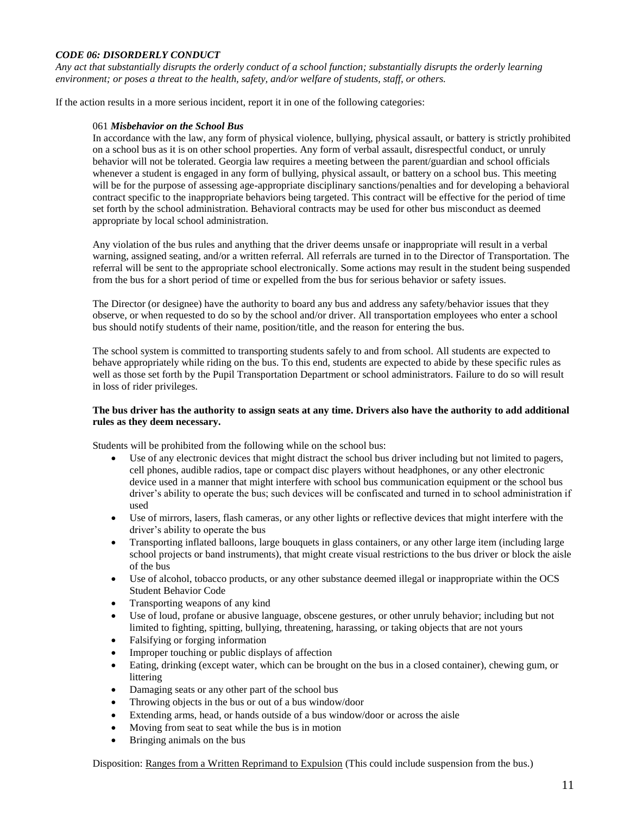## *CODE 06: DISORDERLY CONDUCT*

*Any act that substantially disrupts the orderly conduct of a school function; substantially disrupts the orderly learning environment; or poses a threat to the health, safety, and/or welfare of students, staff, or others.*

If the action results in a more serious incident, report it in one of the following categories:

#### 061 *Misbehavior on the School Bus*

In accordance with the law, any form of physical violence, bullying, physical assault, or battery is strictly prohibited on a school bus as it is on other school properties. Any form of verbal assault, disrespectful conduct, or unruly behavior will not be tolerated. Georgia law requires a meeting between the parent/guardian and school officials whenever a student is engaged in any form of bullying, physical assault, or battery on a school bus. This meeting will be for the purpose of assessing age-appropriate disciplinary sanctions/penalties and for developing a behavioral contract specific to the inappropriate behaviors being targeted. This contract will be effective for the period of time set forth by the school administration. Behavioral contracts may be used for other bus misconduct as deemed appropriate by local school administration.

Any violation of the bus rules and anything that the driver deems unsafe or inappropriate will result in a verbal warning, assigned seating, and/or a written referral. All referrals are turned in to the Director of Transportation. The referral will be sent to the appropriate school electronically. Some actions may result in the student being suspended from the bus for a short period of time or expelled from the bus for serious behavior or safety issues.

The Director (or designee) have the authority to board any bus and address any safety/behavior issues that they observe, or when requested to do so by the school and/or driver. All transportation employees who enter a school bus should notify students of their name, position/title, and the reason for entering the bus.

The school system is committed to transporting students safely to and from school. All students are expected to behave appropriately while riding on the bus. To this end, students are expected to abide by these specific rules as well as those set forth by the Pupil Transportation Department or school administrators. Failure to do so will result in loss of rider privileges.

### **The bus driver has the authority to assign seats at any time. Drivers also have the authority to add additional rules as they deem necessary.**

Students will be prohibited from the following while on the school bus:

- Use of any electronic devices that might distract the school bus driver including but not limited to pagers, cell phones, audible radios, tape or compact disc players without headphones, or any other electronic device used in a manner that might interfere with school bus communication equipment or the school bus driver's ability to operate the bus; such devices will be confiscated and turned in to school administration if used
- Use of mirrors, lasers, flash cameras, or any other lights or reflective devices that might interfere with the driver's ability to operate the bus
- Transporting inflated balloons, large bouquets in glass containers, or any other large item (including large school projects or band instruments), that might create visual restrictions to the bus driver or block the aisle of the bus
- Use of alcohol, tobacco products, or any other substance deemed illegal or inappropriate within the OCS Student Behavior Code
- Transporting weapons of any kind
- Use of loud, profane or abusive language, obscene gestures, or other unruly behavior; including but not limited to fighting, spitting, bullying, threatening, harassing, or taking objects that are not yours
- Falsifying or forging information
- Improper touching or public displays of affection
- Eating, drinking (except water, which can be brought on the bus in a closed container), chewing gum, or littering
- Damaging seats or any other part of the school bus
- Throwing objects in the bus or out of a bus window/door
- Extending arms, head, or hands outside of a bus window/door or across the aisle
- Moving from seat to seat while the bus is in motion
- Bringing animals on the bus

Disposition: Ranges from a Written Reprimand to Expulsion (This could include suspension from the bus.)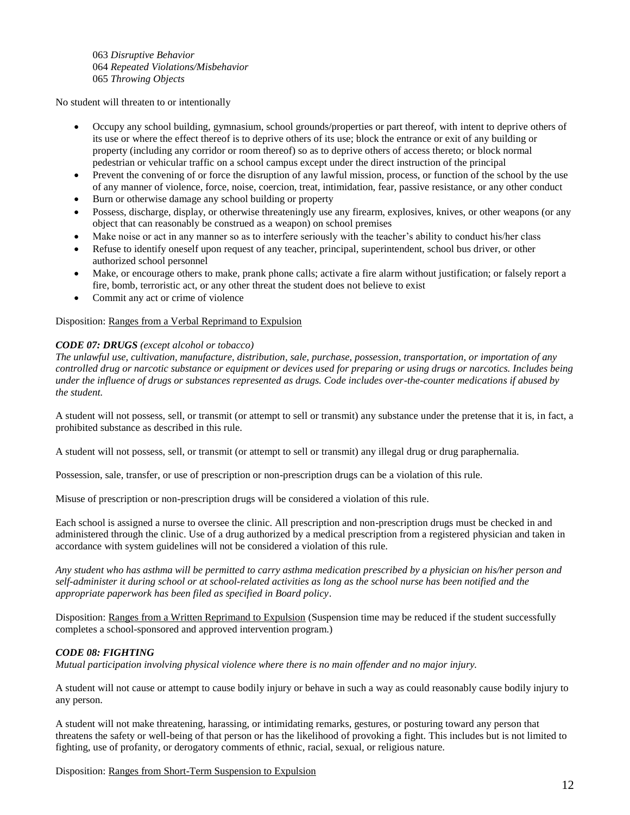063 *Disruptive Behavior* 064 *Repeated Violations/Misbehavior* 065 *Throwing Objects*

No student will threaten to or intentionally

- Occupy any school building, gymnasium, school grounds/properties or part thereof, with intent to deprive others of its use or where the effect thereof is to deprive others of its use; block the entrance or exit of any building or property (including any corridor or room thereof) so as to deprive others of access thereto; or block normal pedestrian or vehicular traffic on a school campus except under the direct instruction of the principal
- Prevent the convening of or force the disruption of any lawful mission, process, or function of the school by the use of any manner of violence, force, noise, coercion, treat, intimidation, fear, passive resistance, or any other conduct
- Burn or otherwise damage any school building or property
- Possess, discharge, display, or otherwise threateningly use any firearm, explosives, knives, or other weapons (or any object that can reasonably be construed as a weapon) on school premises
- Make noise or act in any manner so as to interfere seriously with the teacher's ability to conduct his/her class
- Refuse to identify oneself upon request of any teacher, principal, superintendent, school bus driver, or other authorized school personnel
- Make, or encourage others to make, prank phone calls; activate a fire alarm without justification; or falsely report a fire, bomb, terroristic act, or any other threat the student does not believe to exist
- Commit any act or crime of violence

Disposition: Ranges from a Verbal Reprimand to Expulsion

# *CODE 07: DRUGS (except alcohol or tobacco)*

*The unlawful use, cultivation, manufacture, distribution, sale, purchase, possession, transportation, or importation of any controlled drug or narcotic substance or equipment or devices used for preparing or using drugs or narcotics. Includes being under the influence of drugs or substances represented as drugs. Code includes over-the-counter medications if abused by the student.*

A student will not possess, sell, or transmit (or attempt to sell or transmit) any substance under the pretense that it is, in fact, a prohibited substance as described in this rule.

A student will not possess, sell, or transmit (or attempt to sell or transmit) any illegal drug or drug paraphernalia.

Possession, sale, transfer, or use of prescription or non-prescription drugs can be a violation of this rule.

Misuse of prescription or non-prescription drugs will be considered a violation of this rule.

Each school is assigned a nurse to oversee the clinic. All prescription and non-prescription drugs must be checked in and administered through the clinic. Use of a drug authorized by a medical prescription from a registered physician and taken in accordance with system guidelines will not be considered a violation of this rule.

*Any student who has asthma will be permitted to carry asthma medication prescribed by a physician on his/her person and self-administer it during school or at school-related activities as long as the school nurse has been notified and the appropriate paperwork has been filed as specified in Board policy*.

Disposition: Ranges from a Written Reprimand to Expulsion (Suspension time may be reduced if the student successfully completes a school-sponsored and approved intervention program.)

### *CODE 08: FIGHTING*

*Mutual participation involving physical violence where there is no main offender and no major injury.*

A student will not cause or attempt to cause bodily injury or behave in such a way as could reasonably cause bodily injury to any person.

A student will not make threatening, harassing, or intimidating remarks, gestures, or posturing toward any person that threatens the safety or well-being of that person or has the likelihood of provoking a fight. This includes but is not limited to fighting, use of profanity, or derogatory comments of ethnic, racial, sexual, or religious nature.

Disposition: Ranges from Short-Term Suspension to Expulsion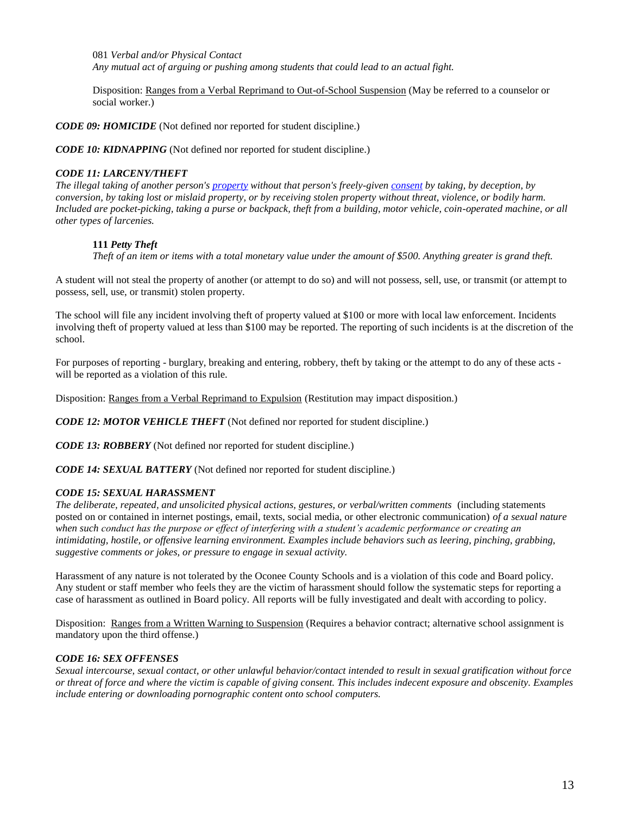081 *Verbal and/or Physical Contact Any mutual act of arguing or pushing among students that could lead to an actual fight.*

Disposition: Ranges from a Verbal Reprimand to Out-of-School Suspension (May be referred to a counselor or social worker.)

*CODE 09: HOMICIDE* (Not defined nor reported for student discipline.)

*CODE 10: KIDNAPPING* (Not defined nor reported for student discipline.)

## *CODE 11: LARCENY/THEFT*

*The illegal taking of another person's [property](http://en.wikipedia.org/wiki/Property) without that person's freely-given [consent](http://en.wikipedia.org/wiki/Consent) by taking, by deception, by conversion, by taking lost or mislaid property, or by receiving stolen property without threat, violence, or bodily harm. Included are pocket-picking, taking a purse or backpack, theft from a building, motor vehicle, coin-operated machine, or all other types of larcenies.*

# **111** *Petty Theft*

*Theft of an item or items with a total monetary value under the amount of \$500. Anything greater is grand theft.*

A student will not steal the property of another (or attempt to do so) and will not possess, sell, use, or transmit (or attempt to possess, sell, use, or transmit) stolen property.

The school will file any incident involving theft of property valued at \$100 or more with local law enforcement. Incidents involving theft of property valued at less than \$100 may be reported. The reporting of such incidents is at the discretion of the school.

For purposes of reporting - burglary, breaking and entering, robbery, theft by taking or the attempt to do any of these acts will be reported as a violation of this rule.

Disposition: Ranges from a Verbal Reprimand to Expulsion (Restitution may impact disposition.)

*CODE 12: MOTOR VEHICLE THEFT* (Not defined nor reported for student discipline.)

*CODE 13: ROBBERY* (Not defined nor reported for student discipline.)

*CODE 14: SEXUAL BATTERY* (Not defined nor reported for student discipline.)

### *CODE 15: SEXUAL HARASSMENT*

*The deliberate, repeated, and unsolicited physical actions, gestures, or verbal/written comments* (including statements posted on or contained in internet postings, email, texts, social media, or other electronic communication) *of a sexual nature when such conduct has the purpose or effect of interfering with a student's academic performance or creating an intimidating, hostile, or offensive learning environment. Examples include behaviors such as leering, pinching, grabbing, suggestive comments or jokes, or pressure to engage in sexual activity.*

Harassment of any nature is not tolerated by the Oconee County Schools and is a violation of this code and Board policy. Any student or staff member who feels they are the victim of harassment should follow the systematic steps for reporting a case of harassment as outlined in Board policy. All reports will be fully investigated and dealt with according to policy.

Disposition: Ranges from a Written Warning to Suspension (Requires a behavior contract; alternative school assignment is mandatory upon the third offense.)

# *CODE 16: SEX OFFENSES*

*Sexual intercourse, sexual contact, or other unlawful behavior/contact intended to result in sexual gratification without force or threat of force and where the victim is capable of giving consent. This includes indecent exposure and obscenity. Examples include entering or downloading pornographic content onto school computers.*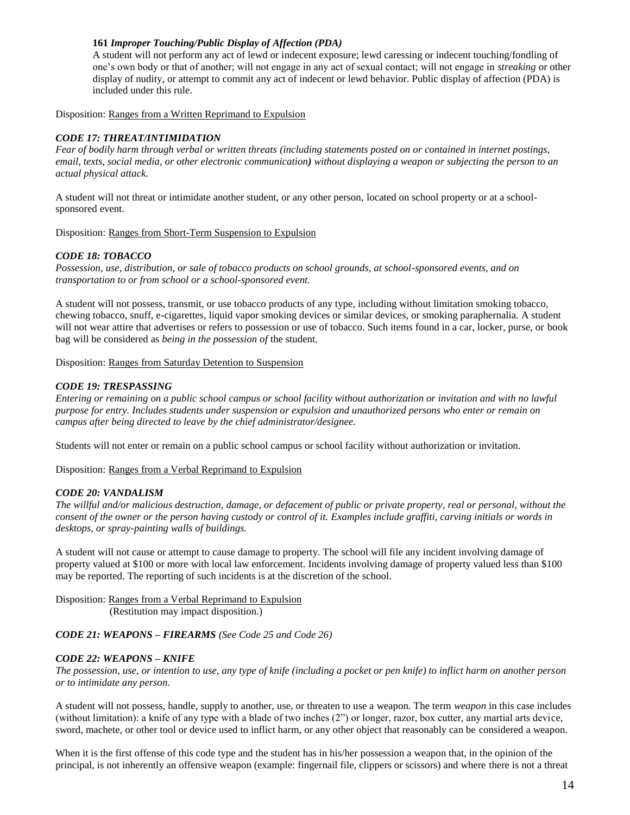# **161** *Improper Touching/Public Display of Affection (PDA)*

A student will not perform any act of lewd or indecent exposure; lewd caressing or indecent touching/fondling of one's own body or that of another; will not engage in any act of sexual contact; will not engage in *streaking* or other display of nudity, or attempt to commit any act of indecent or lewd behavior. Public display of affection (PDA) is included under this rule.

Disposition: Ranges from a Written Reprimand to Expulsion

# *CODE 17: THREAT/INTIMIDATION*

*Fear of bodily harm through verbal or written threats (including statements posted on or contained in internet postings, email, texts, social media, or other electronic communication) without displaying a weapon or subjecting the person to an actual physical attack.*

A student will not threat or intimidate another student, or any other person, located on school property or at a schoolsponsored event.

Disposition: Ranges from Short-Term Suspension to Expulsion

### *CODE 18: TOBACCO*

*Possession, use, distribution, or sale of tobacco products on school grounds, at school-sponsored events, and on transportation to or from school or a school-sponsored event.*

A student will not possess, transmit, or use tobacco products of any type, including without limitation smoking tobacco, chewing tobacco, snuff, e-cigarettes, liquid vapor smoking devices or similar devices, or smoking paraphernalia. A student will not wear attire that advertises or refers to possession or use of tobacco. Such items found in a car, locker, purse, or book bag will be considered as *being in the possession of* the student.

Disposition: Ranges from Saturday Detention to Suspension

### *CODE 19: TRESPASSING*

*Entering or remaining on a public school campus or school facility without authorization or invitation and with no lawful purpose for entry. Includes students under suspension or expulsion and unauthorized persons who enter or remain on campus after being directed to leave by the chief administrator/designee.*

Students will not enter or remain on a public school campus or school facility without authorization or invitation.

Disposition: Ranges from a Verbal Reprimand to Expulsion

### *CODE 20: VANDALISM*

*The willful and/or malicious destruction, damage, or defacement of public or private property, real or personal, without the consent of the owner or the person having custody or control of it. Examples include graffiti, carving initials or words in desktops, or spray-painting walls of buildings.*

A student will not cause or attempt to cause damage to property. The school will file any incident involving damage of property valued at \$100 or more with local law enforcement. Incidents involving damage of property valued less than \$100 may be reported. The reporting of such incidents is at the discretion of the school.

Disposition: Ranges from a Verbal Reprimand to Expulsion (Restitution may impact disposition.)

### *CODE 21: WEAPONS – FIREARMS (See Code 25 and Code 26)*

### *CODE 22: WEAPONS – KNIFE*

*The possession, use, or intention to use, any type of knife (including a pocket or pen knife) to inflict harm on another person or to intimidate any person.*

A student will not possess, handle, supply to another, use, or threaten to use a weapon. The term *weapon* in this case includes (without limitation): a knife of any type with a blade of two inches (2") or longer, razor, box cutter, any martial arts device, sword, machete, or other tool or device used to inflict harm, or any other object that reasonably can be considered a weapon.

When it is the first offense of this code type and the student has in his/her possession a weapon that, in the opinion of the principal, is not inherently an offensive weapon (example: fingernail file, clippers or scissors) and where there is not a threat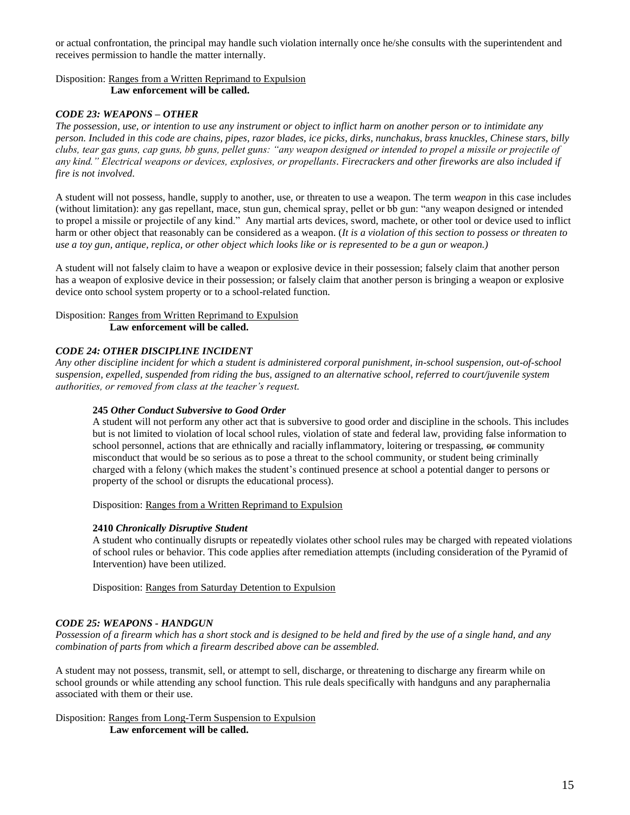or actual confrontation, the principal may handle such violation internally once he/she consults with the superintendent and receives permission to handle the matter internally.

# Disposition: Ranges from a Written Reprimand to Expulsion  **Law enforcement will be called.**

### *CODE 23: WEAPONS – OTHER*

*The possession, use, or intention to use any instrument or object to inflict harm on another person or to intimidate any person. Included in this code are chains, pipes, razor blades, ice picks, dirks, nunchakus, brass knuckles, Chinese stars, billy clubs, tear gas guns, cap guns, bb guns, pellet guns: "any weapon designed or intended to propel a missile or projectile of any kind." Electrical weapons or devices, explosives, or propellants. Firecrackers and other fireworks are also included if fire is not involved.*

A student will not possess, handle, supply to another, use, or threaten to use a weapon. The term *weapon* in this case includes (without limitation): any gas repellant, mace, stun gun, chemical spray, pellet or bb gun: "any weapon designed or intended to propel a missile or projectile of any kind." Any martial arts devices, sword, machete, or other tool or device used to inflict harm or other object that reasonably can be considered as a weapon. (*It is a violation of this section to possess or threaten to use a toy gun, antique, replica, or other object which looks like or is represented to be a gun or weapon.)*

A student will not falsely claim to have a weapon or explosive device in their possession; falsely claim that another person has a weapon of explosive device in their possession; or falsely claim that another person is bringing a weapon or explosive device onto school system property or to a school-related function.

#### Disposition: Ranges from Written Reprimand to Expulsion  **Law enforcement will be called.**

#### *CODE 24: OTHER DISCIPLINE INCIDENT*

*Any other discipline incident for which a student is administered corporal punishment, in-school suspension, out-of-school suspension, expelled, suspended from riding the bus, assigned to an alternative school, referred to court/juvenile system authorities, or removed from class at the teacher's request.*

#### **245** *Other Conduct Subversive to Good Order*

A student will not perform any other act that is subversive to good order and discipline in the schools. This includes but is not limited to violation of local school rules, violation of state and federal law, providing false information to school personnel, actions that are ethnically and racially inflammatory, loitering or trespassing,  $\Theta$  community misconduct that would be so serious as to pose a threat to the school community, or student being criminally charged with a felony (which makes the student's continued presence at school a potential danger to persons or property of the school or disrupts the educational process).

Disposition: Ranges from a Written Reprimand to Expulsion

#### **2410** *Chronically Disruptive Student*

A student who continually disrupts or repeatedly violates other school rules may be charged with repeated violations of school rules or behavior. This code applies after remediation attempts (including consideration of the Pyramid of Intervention) have been utilized.

Disposition: Ranges from Saturday Detention to Expulsion

### *CODE 25: WEAPONS - HANDGUN*

*Possession of a firearm which has a short stock and is designed to be held and fired by the use of a single hand, and any combination of parts from which a firearm described above can be assembled.*

A student may not possess, transmit, sell, or attempt to sell, discharge, or threatening to discharge any firearm while on school grounds or while attending any school function. This rule deals specifically with handguns and any paraphernalia associated with them or their use.

Disposition: Ranges from Long-Term Suspension to Expulsion **Law enforcement will be called.**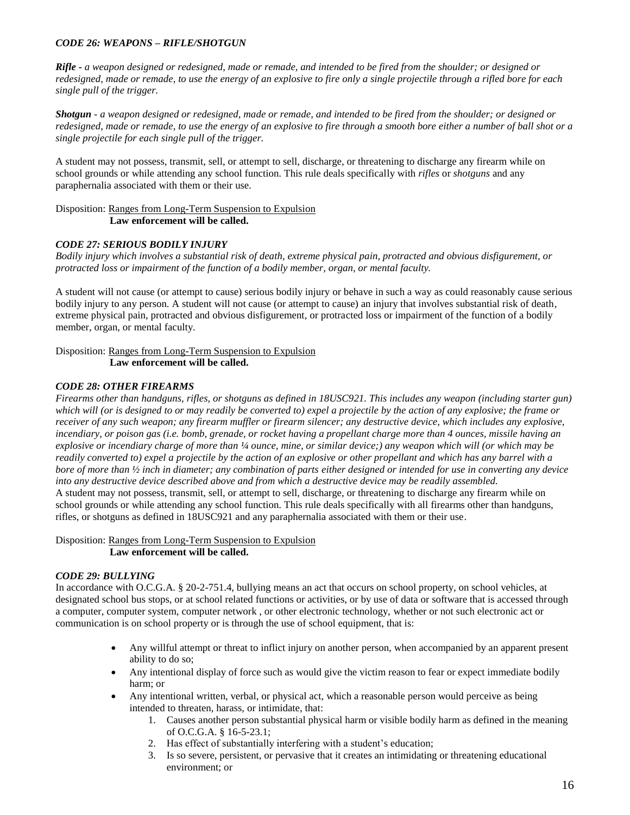# *CODE 26: WEAPONS – RIFLE/SHOTGUN*

*Rifle - a weapon designed or redesigned, made or remade, and intended to be fired from the shoulder; or designed or redesigned, made or remade, to use the energy of an explosive to fire only a single projectile through a rifled bore for each single pull of the trigger.* 

*Shotgun - a weapon designed or redesigned, made or remade, and intended to be fired from the shoulder; or designed or redesigned, made or remade, to use the energy of an explosive to fire through a smooth bore either a number of ball shot or a single projectile for each single pull of the trigger.*

A student may not possess, transmit, sell, or attempt to sell, discharge, or threatening to discharge any firearm while on school grounds or while attending any school function. This rule deals specifically with *rifles* or *shotguns* and any paraphernalia associated with them or their use.

Disposition: Ranges from Long-Term Suspension to Expulsion **Law enforcement will be called.**

### *CODE 27: SERIOUS BODILY INJURY*

*Bodily injury which involves a substantial risk of death, extreme physical pain, protracted and obvious disfigurement, or protracted loss or impairment of the function of a bodily member, organ, or mental faculty.*

A student will not cause (or attempt to cause) serious bodily injury or behave in such a way as could reasonably cause serious bodily injury to any person. A student will not cause (or attempt to cause) an injury that involves substantial risk of death, extreme physical pain, protracted and obvious disfigurement, or protracted loss or impairment of the function of a bodily member, organ, or mental faculty.

Disposition: Ranges from Long-Term Suspension to Expulsion **Law enforcement will be called.**

# *CODE 28: OTHER FIREARMS*

*Firearms other than handguns, rifles, or shotguns as defined in 18USC921. This includes any weapon (including starter gun) which will (or is designed to or may readily be converted to) expel a projectile by the action of any explosive; the frame or receiver of any such weapon; any firearm muffler or firearm silencer; any destructive device, which includes any explosive, incendiary, or poison gas (i.e. bomb, grenade, or rocket having a propellant charge more than 4 ounces, missile having an explosive or incendiary charge of more than ¼ ounce, mine, or similar device;) any weapon which will (or which may be readily converted to) expel a projectile by the action of an explosive or other propellant and which has any barrel with a bore of more than ½ inch in diameter; any combination of parts either designed or intended for use in converting any device into any destructive device described above and from which a destructive device may be readily assembled.* A student may not possess, transmit, sell, or attempt to sell, discharge, or threatening to discharge any firearm while on school grounds or while attending any school function. This rule deals specifically with all firearms other than handguns, rifles, or shotguns as defined in 18USC921 and any paraphernalia associated with them or their use.

Disposition: Ranges from Long-Term Suspension to Expulsion **Law enforcement will be called.**

### *CODE 29: BULLYING*

In accordance with O.C.G.A. § 20-2-751.4, bullying means an act that occurs on school property, on school vehicles, at designated school bus stops, or at school related functions or activities, or by use of data or software that is accessed through a computer, computer system, computer network , or other electronic technology, whether or not such electronic act or communication is on school property or is through the use of school equipment, that is:

- Any willful attempt or threat to inflict injury on another person, when accompanied by an apparent present ability to do so;
- Any intentional display of force such as would give the victim reason to fear or expect immediate bodily harm; or
- Any intentional written, verbal, or physical act, which a reasonable person would perceive as being intended to threaten, harass, or intimidate, that:
	- 1. Causes another person substantial physical harm or visible bodily harm as defined in the meaning of O.C.G.A. § 16-5-23.1;
	- 2. Has effect of substantially interfering with a student's education;
	- 3. Is so severe, persistent, or pervasive that it creates an intimidating or threatening educational environment; or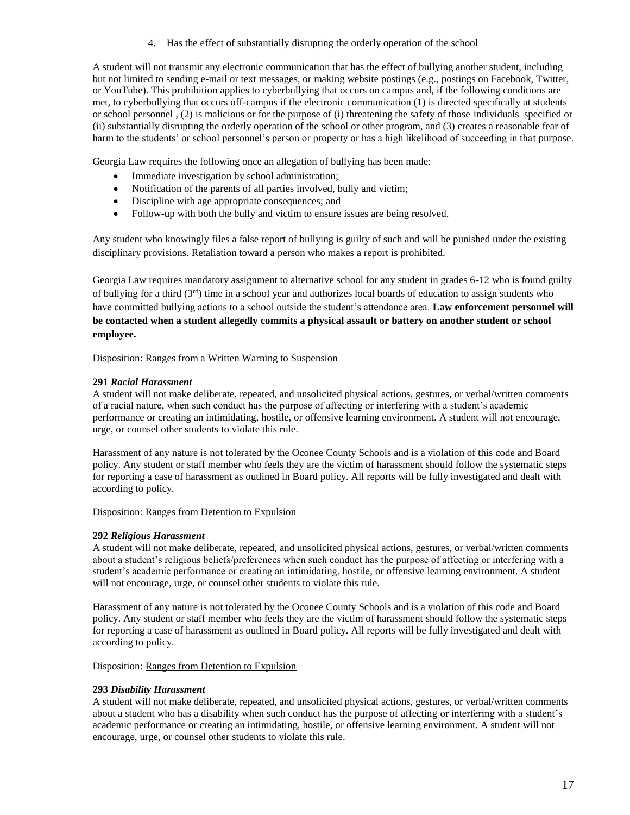4. Has the effect of substantially disrupting the orderly operation of the school

A student will not transmit any electronic communication that has the effect of bullying another student, including but not limited to sending e-mail or text messages, or making website postings (e.g., postings on Facebook, Twitter, or YouTube). This prohibition applies to cyberbullying that occurs on campus and, if the following conditions are met, to cyberbullying that occurs off-campus if the electronic communication (1) is directed specifically at students or school personnel , (2) is malicious or for the purpose of (i) threatening the safety of those individuals specified or (ii) substantially disrupting the orderly operation of the school or other program, and (3) creates a reasonable fear of harm to the students' or school personnel's person or property or has a high likelihood of succeeding in that purpose.

Georgia Law requires the following once an allegation of bullying has been made:

- Immediate investigation by school administration;
- Notification of the parents of all parties involved, bully and victim;
- Discipline with age appropriate consequences; and
- Follow-up with both the bully and victim to ensure issues are being resolved.

Any student who knowingly files a false report of bullying is guilty of such and will be punished under the existing disciplinary provisions. Retaliation toward a person who makes a report is prohibited.

Georgia Law requires mandatory assignment to alternative school for any student in grades 6-12 who is found guilty of bullying for a third  $(3<sup>rd</sup>)$  time in a school year and authorizes local boards of education to assign students who have committed bullying actions to a school outside the student's attendance area. **Law enforcement personnel will be contacted when a student allegedly commits a physical assault or battery on another student or school employee.**

Disposition: Ranges from a Written Warning to Suspension

### **291** *Racial Harassment*

A student will not make deliberate, repeated, and unsolicited physical actions, gestures, or verbal/written comments of a racial nature, when such conduct has the purpose of affecting or interfering with a student's academic performance or creating an intimidating, hostile, or offensive learning environment. A student will not encourage, urge, or counsel other students to violate this rule.

Harassment of any nature is not tolerated by the Oconee County Schools and is a violation of this code and Board policy. Any student or staff member who feels they are the victim of harassment should follow the systematic steps for reporting a case of harassment as outlined in Board policy. All reports will be fully investigated and dealt with according to policy.

Disposition: Ranges from Detention to Expulsion

### **292** *Religious Harassment*

A student will not make deliberate, repeated, and unsolicited physical actions, gestures, or verbal/written comments about a student's religious beliefs/preferences when such conduct has the purpose of affecting or interfering with a student's academic performance or creating an intimidating, hostile, or offensive learning environment. A student will not encourage, urge, or counsel other students to violate this rule.

Harassment of any nature is not tolerated by the Oconee County Schools and is a violation of this code and Board policy. Any student or staff member who feels they are the victim of harassment should follow the systematic steps for reporting a case of harassment as outlined in Board policy. All reports will be fully investigated and dealt with according to policy.

Disposition: Ranges from Detention to Expulsion

### **293** *Disability Harassment*

A student will not make deliberate, repeated, and unsolicited physical actions, gestures, or verbal/written comments about a student who has a disability when such conduct has the purpose of affecting or interfering with a student's academic performance or creating an intimidating, hostile, or offensive learning environment. A student will not encourage, urge, or counsel other students to violate this rule.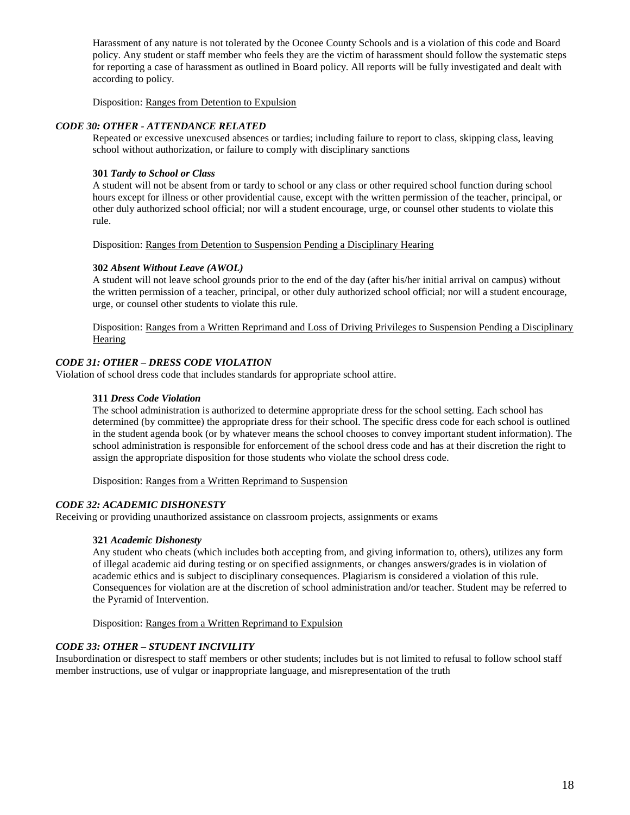Harassment of any nature is not tolerated by the Oconee County Schools and is a violation of this code and Board policy. Any student or staff member who feels they are the victim of harassment should follow the systematic steps for reporting a case of harassment as outlined in Board policy. All reports will be fully investigated and dealt with according to policy.

Disposition: Ranges from Detention to Expulsion

#### *CODE 30: OTHER - ATTENDANCE RELATED*

Repeated or excessive unexcused absences or tardies; including failure to report to class, skipping class, leaving school without authorization, or failure to comply with disciplinary sanctions

#### **301** *Tardy to School or Class*

A student will not be absent from or tardy to school or any class or other required school function during school hours except for illness or other providential cause, except with the written permission of the teacher, principal, or other duly authorized school official; nor will a student encourage, urge, or counsel other students to violate this rule.

Disposition: Ranges from Detention to Suspension Pending a Disciplinary Hearing

#### **302** *Absent Without Leave (AWOL)*

A student will not leave school grounds prior to the end of the day (after his/her initial arrival on campus) without the written permission of a teacher, principal, or other duly authorized school official; nor will a student encourage, urge, or counsel other students to violate this rule.

Disposition: Ranges from a Written Reprimand and Loss of Driving Privileges to Suspension Pending a Disciplinary **Hearing** 

## *CODE 31: OTHER – DRESS CODE VIOLATION*

Violation of school dress code that includes standards for appropriate school attire.

#### **311** *Dress Code Violation*

The school administration is authorized to determine appropriate dress for the school setting. Each school has determined (by committee) the appropriate dress for their school. The specific dress code for each school is outlined in the student agenda book (or by whatever means the school chooses to convey important student information). The school administration is responsible for enforcement of the school dress code and has at their discretion the right to assign the appropriate disposition for those students who violate the school dress code.

Disposition: Ranges from a Written Reprimand to Suspension

### *CODE 32: ACADEMIC DISHONESTY*

Receiving or providing unauthorized assistance on classroom projects, assignments or exams

### **321** *Academic Dishonesty*

Any student who cheats (which includes both accepting from, and giving information to, others), utilizes any form of illegal academic aid during testing or on specified assignments, or changes answers/grades is in violation of academic ethics and is subject to disciplinary consequences. Plagiarism is considered a violation of this rule. Consequences for violation are at the discretion of school administration and/or teacher. Student may be referred to the Pyramid of Intervention.

Disposition: Ranges from a Written Reprimand to Expulsion

### *CODE 33: OTHER – STUDENT INCIVILITY*

Insubordination or disrespect to staff members or other students; includes but is not limited to refusal to follow school staff member instructions, use of vulgar or inappropriate language, and misrepresentation of the truth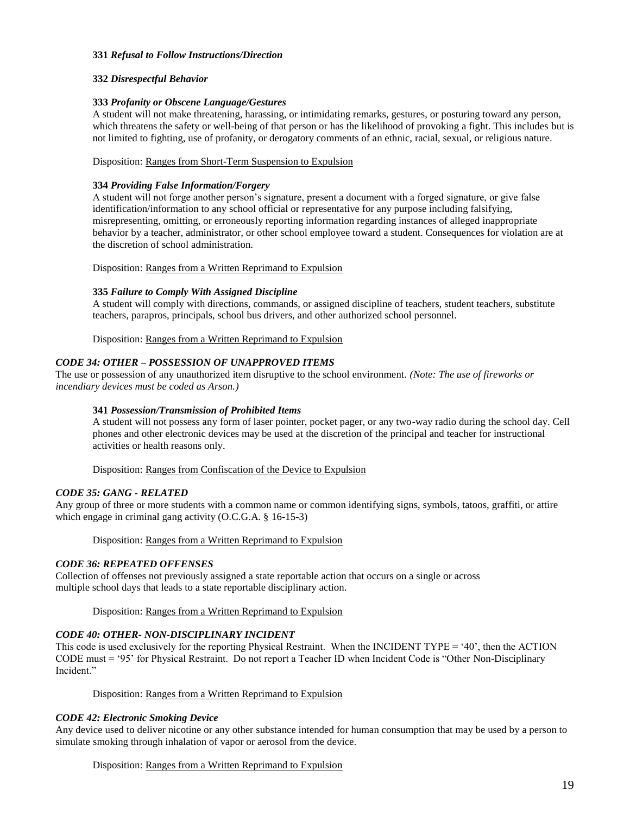#### **331** *Refusal to Follow Instructions/Direction*

#### **332** *Disrespectful Behavior*

#### **333** *Profanity or Obscene Language/Gestures*

A student will not make threatening, harassing, or intimidating remarks, gestures, or posturing toward any person, which threatens the safety or well-being of that person or has the likelihood of provoking a fight. This includes but is not limited to fighting, use of profanity, or derogatory comments of an ethnic, racial, sexual, or religious nature.

#### Disposition: Ranges from Short-Term Suspension to Expulsion

#### **334** *Providing False Information/Forgery*

A student will not forge another person's signature, present a document with a forged signature, or give false identification/information to any school official or representative for any purpose including falsifying, misrepresenting, omitting, or erroneously reporting information regarding instances of alleged inappropriate behavior by a teacher, administrator, or other school employee toward a student. Consequences for violation are at the discretion of school administration.

Disposition: Ranges from a Written Reprimand to Expulsion

#### **335** *Failure to Comply With Assigned Discipline*

A student will comply with directions, commands, or assigned discipline of teachers, student teachers, substitute teachers, parapros, principals, school bus drivers, and other authorized school personnel.

Disposition: Ranges from a Written Reprimand to Expulsion

### *CODE 34: OTHER – POSSESSION OF UNAPPROVED ITEMS*

The use or possession of any unauthorized item disruptive to the school environment. *(Note: The use of fireworks or incendiary devices must be coded as Arson.)*

### **341** *Possession/Transmission of Prohibited Items*

A student will not possess any form of laser pointer, pocket pager, or any two-way radio during the school day. Cell phones and other electronic devices may be used at the discretion of the principal and teacher for instructional activities or health reasons only.

Disposition: Ranges from Confiscation of the Device to Expulsion

### *CODE 35: GANG - RELATED*

Any group of three or more students with a common name or common identifying signs, symbols, tatoos, graffiti, or attire which engage in criminal gang activity (O.C.G.A. § 16-15-3)

Disposition: Ranges from a Written Reprimand to Expulsion

#### *CODE 36: REPEATED OFFENSES*

Collection of offenses not previously assigned a state reportable action that occurs on a single or across multiple school days that leads to a state reportable disciplinary action.

Disposition: Ranges from a Written Reprimand to Expulsion

# *CODE 40: OTHER- NON-DISCIPLINARY INCIDENT*

This code is used exclusively for the reporting Physical Restraint. When the INCIDENT TYPE = '40', then the ACTION CODE must = '95' for Physical Restraint. Do not report a Teacher ID when Incident Code is "Other Non-Disciplinary Incident"

Disposition: Ranges from a Written Reprimand to Expulsion

#### *CODE 42: Electronic Smoking Device*

Any device used to deliver nicotine or any other substance intended for human consumption that may be used by a person to simulate smoking through inhalation of vapor or aerosol from the device.

#### Disposition: Ranges from a Written Reprimand to Expulsion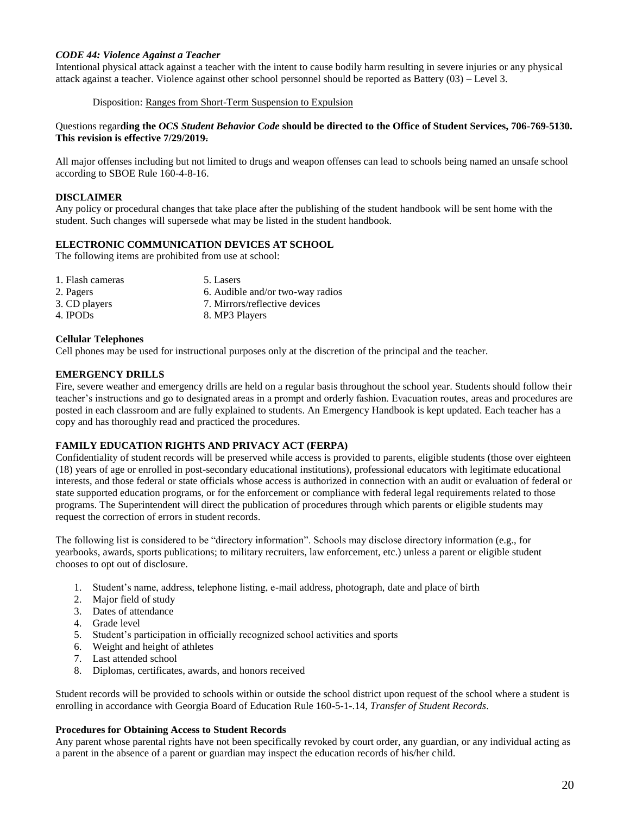### *CODE 44: Violence Against a Teacher*

Intentional physical attack against a teacher with the intent to cause bodily harm resulting in severe injuries or any physical attack against a teacher. Violence against other school personnel should be reported as Battery (03) – Level 3.

Disposition: Ranges from Short-Term Suspension to Expulsion

#### Questions regar**ding the** *OCS Student Behavior Code* **should be directed to the Office of Student Services, 706-769-5130. This revision is effective 7/29/2019.**

All major offenses including but not limited to drugs and weapon offenses can lead to schools being named an unsafe school according to SBOE Rule 160-4-8-16.

# **DISCLAIMER**

Any policy or procedural changes that take place after the publishing of the student handbook will be sent home with the student. Such changes will supersede what may be listed in the student handbook.

# **ELECTRONIC COMMUNICATION DEVICES AT SCHOOL**

The following items are prohibited from use at school:

| 1. Flash cameras     | 5. Lasers                        |
|----------------------|----------------------------------|
| 2. Pagers            | 6. Audible and/or two-way radios |
| 3. CD players        | 7. Mirrors/reflective devices    |
| 4. IPOD <sub>s</sub> | 8. MP3 Players                   |

### **Cellular Telephones**

Cell phones may be used for instructional purposes only at the discretion of the principal and the teacher.

### **EMERGENCY DRILLS**

Fire, severe weather and emergency drills are held on a regular basis throughout the school year. Students should follow their teacher's instructions and go to designated areas in a prompt and orderly fashion. Evacuation routes, areas and procedures are posted in each classroom and are fully explained to students. An Emergency Handbook is kept updated. Each teacher has a copy and has thoroughly read and practiced the procedures.

### **FAMILY EDUCATION RIGHTS AND PRIVACY ACT (FERPA)**

Confidentiality of student records will be preserved while access is provided to parents, eligible students (those over eighteen (18) years of age or enrolled in post-secondary educational institutions), professional educators with legitimate educational interests, and those federal or state officials whose access is authorized in connection with an audit or evaluation of federal or state supported education programs, or for the enforcement or compliance with federal legal requirements related to those programs. The Superintendent will direct the publication of procedures through which parents or eligible students may request the correction of errors in student records.

The following list is considered to be "directory information". Schools may disclose directory information (e.g., for yearbooks, awards, sports publications; to military recruiters, law enforcement, etc.) unless a parent or eligible student chooses to opt out of disclosure.

- 1. Student's name, address, telephone listing, e-mail address, photograph, date and place of birth
- 2. Major field of study
- 3. Dates of attendance
- 4. Grade level
- 5. Student's participation in officially recognized school activities and sports
- 6. Weight and height of athletes
- 7. Last attended school
- 8. Diplomas, certificates, awards, and honors received

Student records will be provided to schools within or outside the school district upon request of the school where a student is enrolling in accordance with Georgia Board of Education Rule 160-5-1-.14, *Transfer of Student Records*.

### **Procedures for Obtaining Access to Student Records**

Any parent whose parental rights have not been specifically revoked by court order, any guardian, or any individual acting as a parent in the absence of a parent or guardian may inspect the education records of his/her child.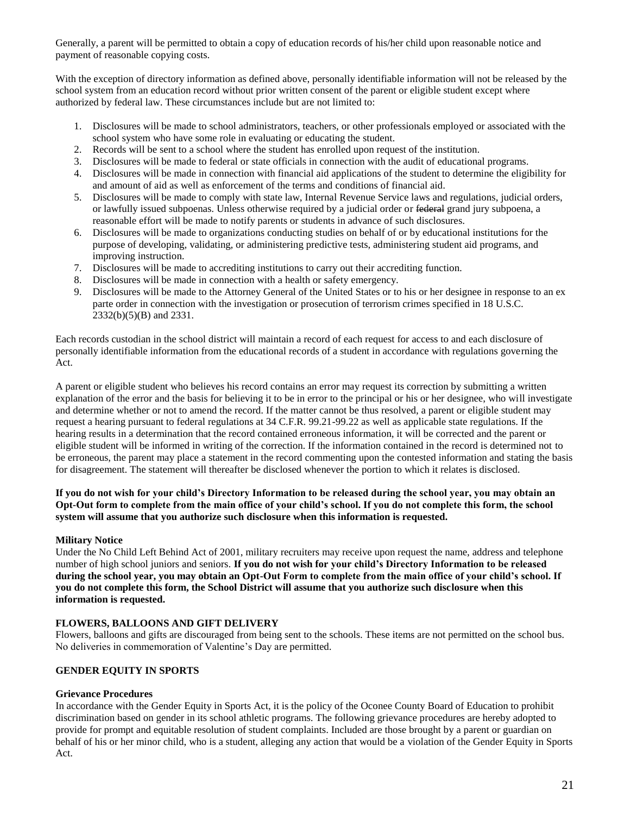Generally, a parent will be permitted to obtain a copy of education records of his/her child upon reasonable notice and payment of reasonable copying costs.

With the exception of directory information as defined above, personally identifiable information will not be released by the school system from an education record without prior written consent of the parent or eligible student except where authorized by federal law. These circumstances include but are not limited to:

- 1. Disclosures will be made to school administrators, teachers, or other professionals employed or associated with the school system who have some role in evaluating or educating the student.
- 2. Records will be sent to a school where the student has enrolled upon request of the institution.
- 3. Disclosures will be made to federal or state officials in connection with the audit of educational programs.
- 4. Disclosures will be made in connection with financial aid applications of the student to determine the eligibility for and amount of aid as well as enforcement of the terms and conditions of financial aid.
- 5. Disclosures will be made to comply with state law, Internal Revenue Service laws and regulations, judicial orders, or lawfully issued subpoenas. Unless otherwise required by a judicial order or federal grand jury subpoena, a reasonable effort will be made to notify parents or students in advance of such disclosures.
- 6. Disclosures will be made to organizations conducting studies on behalf of or by educational institutions for the purpose of developing, validating, or administering predictive tests, administering student aid programs, and improving instruction.
- 7. Disclosures will be made to accrediting institutions to carry out their accrediting function.
- 8. Disclosures will be made in connection with a health or safety emergency.
- 9. Disclosures will be made to the Attorney General of the United States or to his or her designee in response to an ex parte order in connection with the investigation or prosecution of terrorism crimes specified in 18 U.S.C. 2332(b)(5)(B) and 2331.

Each records custodian in the school district will maintain a record of each request for access to and each disclosure of personally identifiable information from the educational records of a student in accordance with regulations governing the Act.

A parent or eligible student who believes his record contains an error may request its correction by submitting a written explanation of the error and the basis for believing it to be in error to the principal or his or her designee, who will investigate and determine whether or not to amend the record. If the matter cannot be thus resolved, a parent or eligible student may request a hearing pursuant to federal regulations at 34 C.F.R. 99.21-99.22 as well as applicable state regulations. If the hearing results in a determination that the record contained erroneous information, it will be corrected and the parent or eligible student will be informed in writing of the correction. If the information contained in the record is determined not to be erroneous, the parent may place a statement in the record commenting upon the contested information and stating the basis for disagreement. The statement will thereafter be disclosed whenever the portion to which it relates is disclosed.

## **If you do not wish for your child's Directory Information to be released during the school year, you may obtain an Opt-Out form to complete from the main office of your child's school. If you do not complete this form, the school system will assume that you authorize such disclosure when this information is requested.**

# **Military Notice**

Under the No Child Left Behind Act of 2001, military recruiters may receive upon request the name, address and telephone number of high school juniors and seniors. **If you do not wish for your child's Directory Information to be released during the school year, you may obtain an Opt-Out Form to complete from the main office of your child's school. If you do not complete this form, the School District will assume that you authorize such disclosure when this information is requested.**

### **FLOWERS, BALLOONS AND GIFT DELIVERY**

Flowers, balloons and gifts are discouraged from being sent to the schools. These items are not permitted on the school bus. No deliveries in commemoration of Valentine's Day are permitted.

# **GENDER EQUITY IN SPORTS**

# **Grievance Procedures**

In accordance with the Gender Equity in Sports Act, it is the policy of the Oconee County Board of Education to prohibit discrimination based on gender in its school athletic programs. The following grievance procedures are hereby adopted to provide for prompt and equitable resolution of student complaints. Included are those brought by a parent or guardian on behalf of his or her minor child, who is a student, alleging any action that would be a violation of the Gender Equity in Sports Act.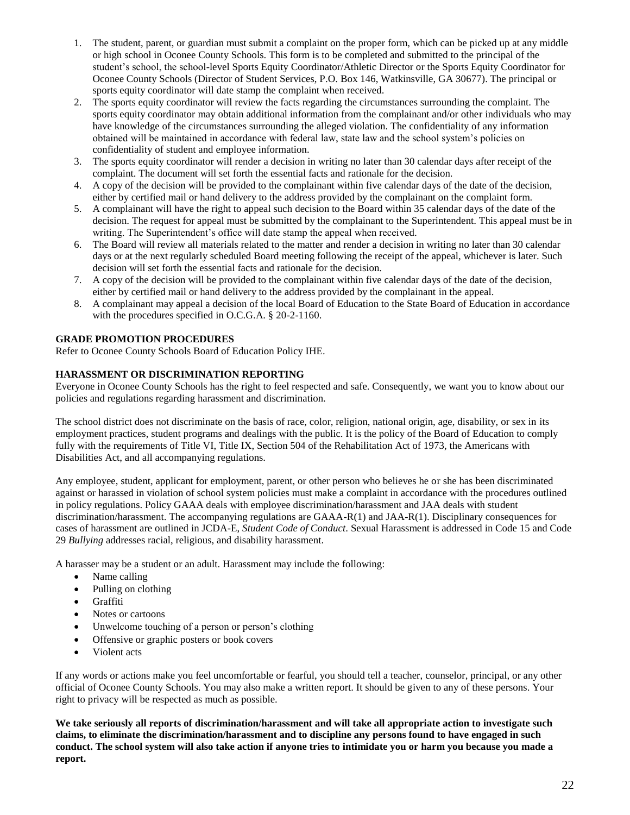- 1. The student, parent, or guardian must submit a complaint on the proper form, which can be picked up at any middle or high school in Oconee County Schools. This form is to be completed and submitted to the principal of the student's school, the school-level Sports Equity Coordinator/Athletic Director or the Sports Equity Coordinator for Oconee County Schools (Director of Student Services, P.O. Box 146, Watkinsville, GA 30677). The principal or sports equity coordinator will date stamp the complaint when received.
- 2. The sports equity coordinator will review the facts regarding the circumstances surrounding the complaint. The sports equity coordinator may obtain additional information from the complainant and/or other individuals who may have knowledge of the circumstances surrounding the alleged violation. The confidentiality of any information obtained will be maintained in accordance with federal law, state law and the school system's policies on confidentiality of student and employee information.
- 3. The sports equity coordinator will render a decision in writing no later than 30 calendar days after receipt of the complaint. The document will set forth the essential facts and rationale for the decision.
- 4. A copy of the decision will be provided to the complainant within five calendar days of the date of the decision, either by certified mail or hand delivery to the address provided by the complainant on the complaint form.
- 5. A complainant will have the right to appeal such decision to the Board within 35 calendar days of the date of the decision. The request for appeal must be submitted by the complainant to the Superintendent. This appeal must be in writing. The Superintendent's office will date stamp the appeal when received.
- 6. The Board will review all materials related to the matter and render a decision in writing no later than 30 calendar days or at the next regularly scheduled Board meeting following the receipt of the appeal, whichever is later. Such decision will set forth the essential facts and rationale for the decision.
- 7. A copy of the decision will be provided to the complainant within five calendar days of the date of the decision, either by certified mail or hand delivery to the address provided by the complainant in the appeal.
- 8. A complainant may appeal a decision of the local Board of Education to the State Board of Education in accordance with the procedures specified in O.C.G.A. § 20-2-1160.

# **GRADE PROMOTION PROCEDURES**

Refer to Oconee County Schools Board of Education Policy IHE.

# **HARASSMENT OR DISCRIMINATION REPORTING**

Everyone in Oconee County Schools has the right to feel respected and safe. Consequently, we want you to know about our policies and regulations regarding harassment and discrimination.

The school district does not discriminate on the basis of race, color, religion, national origin, age, disability, or sex in its employment practices, student programs and dealings with the public. It is the policy of the Board of Education to comply fully with the requirements of Title VI, Title IX, Section 504 of the Rehabilitation Act of 1973, the Americans with Disabilities Act, and all accompanying regulations.

Any employee, student, applicant for employment, parent, or other person who believes he or she has been discriminated against or harassed in violation of school system policies must make a complaint in accordance with the procedures outlined in policy regulations. Policy GAAA deals with employee discrimination/harassment and JAA deals with student discrimination/harassment. The accompanying regulations are GAAA-R(1) and JAA-R(1). Disciplinary consequences for cases of harassment are outlined in JCDA-E, *Student Code of Conduct*. Sexual Harassment is addressed in Code 15 and Code 29 *Bullying* addresses racial, religious, and disability harassment.

A harasser may be a student or an adult. Harassment may include the following:

- Name calling
- Pulling on clothing
- Graffiti
- Notes or cartoons
- Unwelcome touching of a person or person's clothing
- Offensive or graphic posters or book covers
- Violent acts

If any words or actions make you feel uncomfortable or fearful, you should tell a teacher, counselor, principal, or any other official of Oconee County Schools. You may also make a written report. It should be given to any of these persons. Your right to privacy will be respected as much as possible.

**We take seriously all reports of discrimination/harassment and will take all appropriate action to investigate such claims, to eliminate the discrimination/harassment and to discipline any persons found to have engaged in such conduct. The school system will also take action if anyone tries to intimidate you or harm you because you made a report.**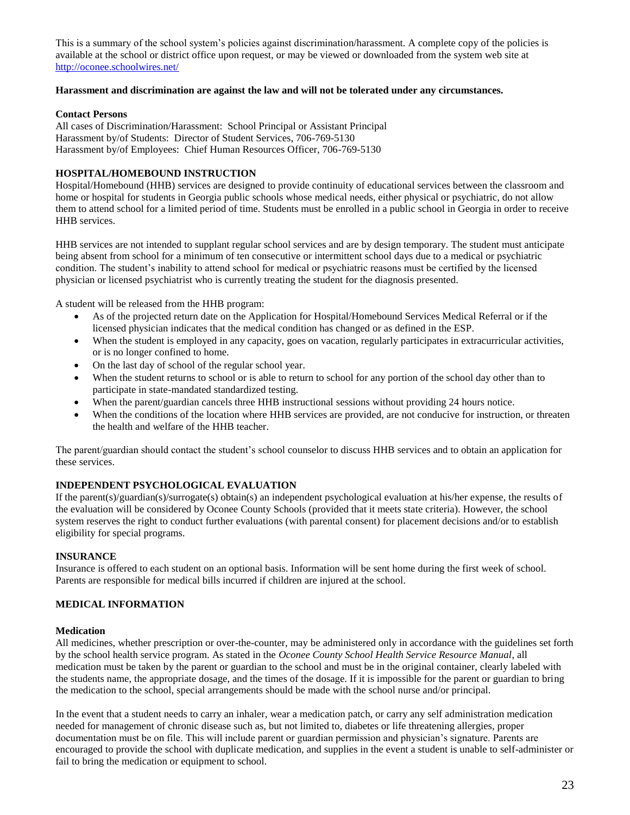This is a summary of the school system's policies against discrimination/harassment. A complete copy of the policies is available at the school or district office upon request, or may be viewed or downloaded from the system web site at <http://oconee.schoolwires.net/>

#### **Harassment and discrimination are against the law and will not be tolerated under any circumstances.**

#### **Contact Persons**

All cases of Discrimination/Harassment: School Principal or Assistant Principal Harassment by/of Students: Director of Student Services, 706-769-5130 Harassment by/of Employees: Chief Human Resources Officer, 706-769-5130

#### **HOSPITAL/HOMEBOUND INSTRUCTION**

Hospital/Homebound (HHB) services are designed to provide continuity of educational services between the classroom and home or hospital for students in Georgia public schools whose medical needs, either physical or psychiatric, do not allow them to attend school for a limited period of time. Students must be enrolled in a public school in Georgia in order to receive HHB services.

HHB services are not intended to supplant regular school services and are by design temporary. The student must anticipate being absent from school for a minimum of ten consecutive or intermittent school days due to a medical or psychiatric condition. The student's inability to attend school for medical or psychiatric reasons must be certified by the licensed physician or licensed psychiatrist who is currently treating the student for the diagnosis presented.

A student will be released from the HHB program:

- As of the projected return date on the Application for Hospital/Homebound Services Medical Referral or if the licensed physician indicates that the medical condition has changed or as defined in the ESP.
- When the student is employed in any capacity, goes on vacation, regularly participates in extracurricular activities, or is no longer confined to home.
- On the last day of school of the regular school year.
- When the student returns to school or is able to return to school for any portion of the school day other than to participate in state-mandated standardized testing.
- When the parent/guardian cancels three HHB instructional sessions without providing 24 hours notice.
- When the conditions of the location where HHB services are provided, are not conducive for instruction, or threaten the health and welfare of the HHB teacher.

The parent/guardian should contact the student's school counselor to discuss HHB services and to obtain an application for these services.

### **INDEPENDENT PSYCHOLOGICAL EVALUATION**

If the parent(s)/guardian(s)/surrogate(s) obtain(s) an independent psychological evaluation at his/her expense, the results of the evaluation will be considered by Oconee County Schools (provided that it meets state criteria). However, the school system reserves the right to conduct further evaluations (with parental consent) for placement decisions and/or to establish eligibility for special programs.

#### **INSURANCE**

Insurance is offered to each student on an optional basis. Information will be sent home during the first week of school. Parents are responsible for medical bills incurred if children are injured at the school.

### **MEDICAL INFORMATION**

#### **Medication**

All medicines, whether prescription or over-the-counter, may be administered only in accordance with the guidelines set forth by the school health service program. As stated in the *Oconee County School Health Service Resource Manual*, all medication must be taken by the parent or guardian to the school and must be in the original container, clearly labeled with the students name, the appropriate dosage, and the times of the dosage. If it is impossible for the parent or guardian to bring the medication to the school, special arrangements should be made with the school nurse and/or principal.

In the event that a student needs to carry an inhaler, wear a medication patch, or carry any self administration medication needed for management of chronic disease such as, but not limited to, diabetes or life threatening allergies, proper documentation must be on file. This will include parent or guardian permission and physician's signature. Parents are encouraged to provide the school with duplicate medication, and supplies in the event a student is unable to self-administer or fail to bring the medication or equipment to school.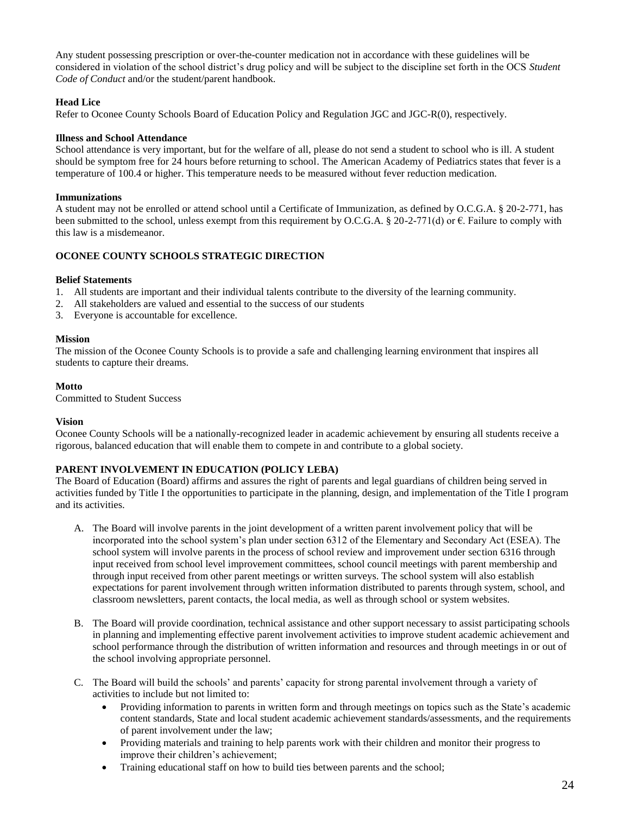Any student possessing prescription or over-the-counter medication not in accordance with these guidelines will be considered in violation of the school district's drug policy and will be subject to the discipline set forth in the OCS *Student Code of Conduct* and/or the student/parent handbook.

### **Head Lice**

Refer to Oconee County Schools Board of Education Policy and Regulation JGC and JGC-R(0), respectively.

#### **Illness and School Attendance**

School attendance is very important, but for the welfare of all, please do not send a student to school who is ill. A student should be symptom free for 24 hours before returning to school. The American Academy of Pediatrics states that fever is a temperature of 100.4 or higher. This temperature needs to be measured without fever reduction medication.

#### **Immunizations**

A student may not be enrolled or attend school until a Certificate of Immunization, as defined by O.C.G.A. § 20-2-771, has been submitted to the school, unless exempt from this requirement by O.C.G.A. § 20-2-771(d) or  $\epsilon$ . Failure to comply with this law is a misdemeanor.

#### **OCONEE COUNTY SCHOOLS STRATEGIC DIRECTION**

#### **Belief Statements**

- 1. All students are important and their individual talents contribute to the diversity of the learning community.
- 2. All stakeholders are valued and essential to the success of our students
- 3. Everyone is accountable for excellence.

#### **Mission**

The mission of the Oconee County Schools is to provide a safe and challenging learning environment that inspires all students to capture their dreams.

#### **Motto**

Committed to Student Success

#### **Vision**

Oconee County Schools will be a nationally-recognized leader in academic achievement by ensuring all students receive a rigorous, balanced education that will enable them to compete in and contribute to a global society.

### **PARENT INVOLVEMENT IN EDUCATION (POLICY LEBA)**

The Board of Education (Board) affirms and assures the right of parents and legal guardians of children being served in activities funded by Title I the opportunities to participate in the planning, design, and implementation of the Title I program and its activities.

- A. The Board will involve parents in the joint development of a written parent involvement policy that will be incorporated into the school system's plan under section 6312 of the Elementary and Secondary Act (ESEA). The school system will involve parents in the process of school review and improvement under section 6316 through input received from school level improvement committees, school council meetings with parent membership and through input received from other parent meetings or written surveys. The school system will also establish expectations for parent involvement through written information distributed to parents through system, school, and classroom newsletters, parent contacts, the local media, as well as through school or system websites.
- B. The Board will provide coordination, technical assistance and other support necessary to assist participating schools in planning and implementing effective parent involvement activities to improve student academic achievement and school performance through the distribution of written information and resources and through meetings in or out of the school involving appropriate personnel.
- C. The Board will build the schools' and parents' capacity for strong parental involvement through a variety of activities to include but not limited to:
	- Providing information to parents in written form and through meetings on topics such as the State's academic content standards, State and local student academic achievement standards/assessments, and the requirements of parent involvement under the law;
	- Providing materials and training to help parents work with their children and monitor their progress to improve their children's achievement;
	- Training educational staff on how to build ties between parents and the school;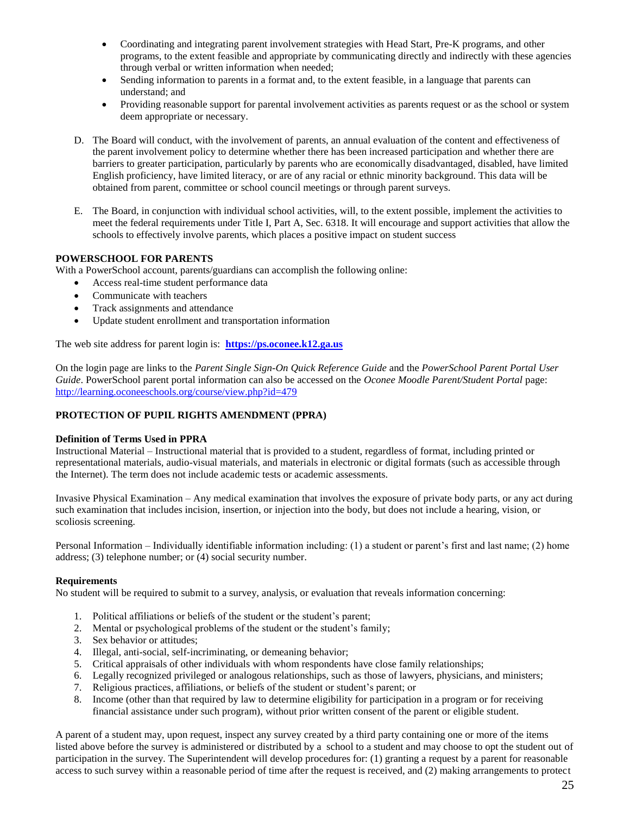- Coordinating and integrating parent involvement strategies with Head Start, Pre-K programs, and other programs, to the extent feasible and appropriate by communicating directly and indirectly with these agencies through verbal or written information when needed;
- Sending information to parents in a format and, to the extent feasible, in a language that parents can understand; and
- Providing reasonable support for parental involvement activities as parents request or as the school or system deem appropriate or necessary.
- D. The Board will conduct, with the involvement of parents, an annual evaluation of the content and effectiveness of the parent involvement policy to determine whether there has been increased participation and whether there are barriers to greater participation, particularly by parents who are economically disadvantaged, disabled, have limited English proficiency, have limited literacy, or are of any racial or ethnic minority background. This data will be obtained from parent, committee or school council meetings or through parent surveys.
- E. The Board, in conjunction with individual school activities, will, to the extent possible, implement the activities to meet the federal requirements under Title I, Part A, Sec. 6318. It will encourage and support activities that allow the schools to effectively involve parents, which places a positive impact on student success

# **POWERSCHOOL FOR PARENTS**

With a PowerSchool account, parents/guardians can accomplish the following online:

- Access real-time student performance data
- Communicate with teachers
- Track assignments and attendance
- Update student enrollment and transportation information

The web site address for parent login is: **[https://ps.oconee.k12.ga.us](https://ps.oconee.k12.ga.us/)**

On the login page are links to the *Parent Single Sign-On Quick Reference Guide* and the *PowerSchool Parent Portal User Guide*. PowerSchool parent portal information can also be accessed on the *Oconee Moodle Parent/Student Portal* page: <http://learning.oconeeschools.org/course/view.php?id=479>

# **PROTECTION OF PUPIL RIGHTS AMENDMENT (PPRA)**

### **Definition of Terms Used in PPRA**

Instructional Material – Instructional material that is provided to a student, regardless of format, including printed or representational materials, audio-visual materials, and materials in electronic or digital formats (such as accessible through the Internet). The term does not include academic tests or academic assessments.

Invasive Physical Examination – Any medical examination that involves the exposure of private body parts, or any act during such examination that includes incision, insertion, or injection into the body, but does not include a hearing, vision, or scoliosis screening.

Personal Information – Individually identifiable information including: (1) a student or parent's first and last name; (2) home address; (3) telephone number; or (4) social security number.

### **Requirements**

No student will be required to submit to a survey, analysis, or evaluation that reveals information concerning:

- 1. Political affiliations or beliefs of the student or the student's parent;
- 2. Mental or psychological problems of the student or the student's family;
- 3. Sex behavior or attitudes;
- 4. Illegal, anti-social, self-incriminating, or demeaning behavior;
- 5. Critical appraisals of other individuals with whom respondents have close family relationships;
- 6. Legally recognized privileged or analogous relationships, such as those of lawyers, physicians, and ministers;
- 7. Religious practices, affiliations, or beliefs of the student or student's parent; or
- 8. Income (other than that required by law to determine eligibility for participation in a program or for receiving financial assistance under such program), without prior written consent of the parent or eligible student.

A parent of a student may, upon request, inspect any survey created by a third party containing one or more of the items listed above before the survey is administered or distributed by a school to a student and may choose to opt the student out of participation in the survey. The Superintendent will develop procedures for: (1) granting a request by a parent for reasonable access to such survey within a reasonable period of time after the request is received, and (2) making arrangements to protect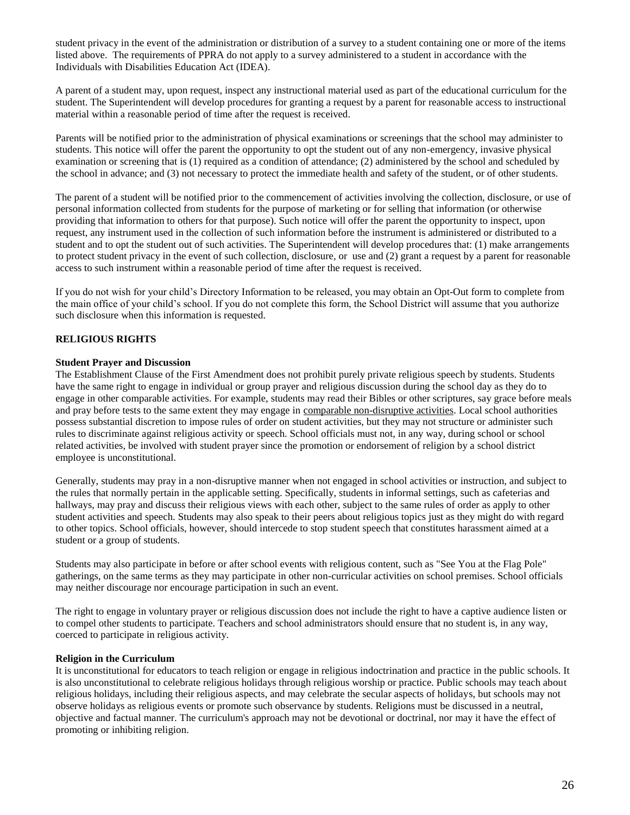student privacy in the event of the administration or distribution of a survey to a student containing one or more of the items listed above. The requirements of PPRA do not apply to a survey administered to a student in accordance with the Individuals with Disabilities Education Act (IDEA).

A parent of a student may, upon request, inspect any instructional material used as part of the educational curriculum for the student. The Superintendent will develop procedures for granting a request by a parent for reasonable access to instructional material within a reasonable period of time after the request is received.

Parents will be notified prior to the administration of physical examinations or screenings that the school may administer to students. This notice will offer the parent the opportunity to opt the student out of any non-emergency, invasive physical examination or screening that is (1) required as a condition of attendance; (2) administered by the school and scheduled by the school in advance; and (3) not necessary to protect the immediate health and safety of the student, or of other students.

The parent of a student will be notified prior to the commencement of activities involving the collection, disclosure, or use of personal information collected from students for the purpose of marketing or for selling that information (or otherwise providing that information to others for that purpose). Such notice will offer the parent the opportunity to inspect, upon request, any instrument used in the collection of such information before the instrument is administered or distributed to a student and to opt the student out of such activities. The Superintendent will develop procedures that: (1) make arrangements to protect student privacy in the event of such collection, disclosure, or use and (2) grant a request by a parent for reasonable access to such instrument within a reasonable period of time after the request is received.

If you do not wish for your child's Directory Information to be released, you may obtain an Opt-Out form to complete from the main office of your child's school. If you do not complete this form, the School District will assume that you authorize such disclosure when this information is requested.

# **RELIGIOUS RIGHTS**

### **Student Prayer and Discussion**

The Establishment Clause of the First Amendment does not prohibit purely private religious speech by students. Students have the same right to engage in individual or group prayer and religious discussion during the school day as they do to engage in other comparable activities. For example, students may read their Bibles or other scriptures, say grace before meals and pray before tests to the same extent they may engage in comparable non-disruptive activities. Local school authorities possess substantial discretion to impose rules of order on student activities, but they may not structure or administer such rules to discriminate against religious activity or speech. School officials must not, in any way, during school or school related activities, be involved with student prayer since the promotion or endorsement of religion by a school district employee is unconstitutional.

Generally, students may pray in a non-disruptive manner when not engaged in school activities or instruction, and subject to the rules that normally pertain in the applicable setting. Specifically, students in informal settings, such as cafeterias and hallways, may pray and discuss their religious views with each other, subject to the same rules of order as apply to other student activities and speech. Students may also speak to their peers about religious topics just as they might do with regard to other topics. School officials, however, should intercede to stop student speech that constitutes harassment aimed at a student or a group of students.

Students may also participate in before or after school events with religious content, such as "See You at the Flag Pole" gatherings, on the same terms as they may participate in other non-curricular activities on school premises. School officials may neither discourage nor encourage participation in such an event.

The right to engage in voluntary prayer or religious discussion does not include the right to have a captive audience listen or to compel other students to participate. Teachers and school administrators should ensure that no student is, in any way, coerced to participate in religious activity.

#### **Religion in the Curriculum**

It is unconstitutional for educators to teach religion or engage in religious indoctrination and practice in the public schools. It is also unconstitutional to celebrate religious holidays through religious worship or practice. Public schools may teach about religious holidays, including their religious aspects, and may celebrate the secular aspects of holidays, but schools may not observe holidays as religious events or promote such observance by students. Religions must be discussed in a neutral, objective and factual manner. The curriculum's approach may not be devotional or doctrinal, nor may it have the effect of promoting or inhibiting religion.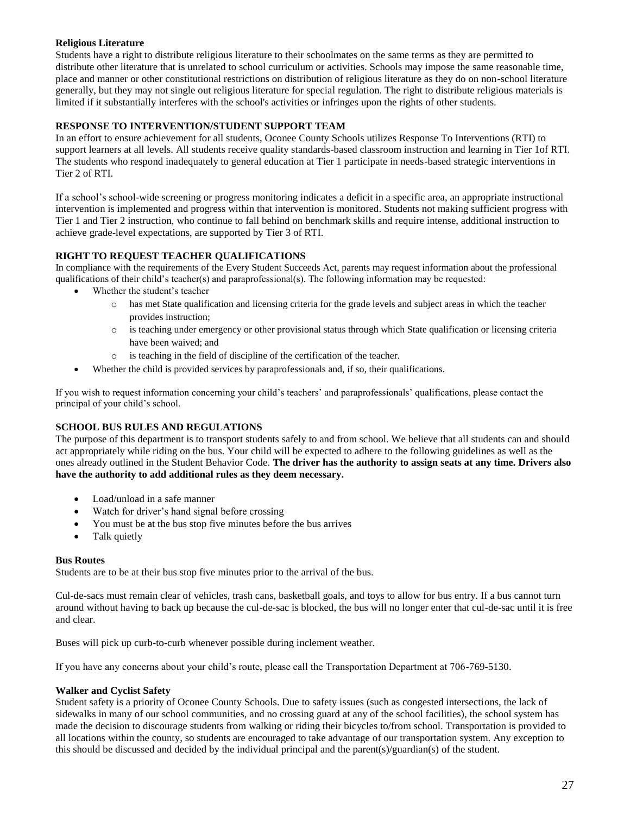# **Religious Literature**

Students have a right to distribute religious literature to their schoolmates on the same terms as they are permitted to distribute other literature that is unrelated to school curriculum or activities. Schools may impose the same reasonable time, place and manner or other constitutional restrictions on distribution of religious literature as they do on non-school literature generally, but they may not single out religious literature for special regulation. The right to distribute religious materials is limited if it substantially interferes with the school's activities or infringes upon the rights of other students.

# **RESPONSE TO INTERVENTION/STUDENT SUPPORT TEAM**

In an effort to ensure achievement for all students, Oconee County Schools utilizes Response To Interventions (RTI) to support learners at all levels. All students receive quality standards-based classroom instruction and learning in Tier 1of RTI. The students who respond inadequately to general education at Tier 1 participate in needs-based strategic interventions in Tier 2 of RTI.

If a school's school-wide screening or progress monitoring indicates a deficit in a specific area, an appropriate instructional intervention is implemented and progress within that intervention is monitored. Students not making sufficient progress with Tier 1 and Tier 2 instruction, who continue to fall behind on benchmark skills and require intense, additional instruction to achieve grade-level expectations, are supported by Tier 3 of RTI.

# **RIGHT TO REQUEST TEACHER QUALIFICATIONS**

In compliance with the requirements of the Every Student Succeeds Act, parents may request information about the professional qualifications of their child's teacher(s) and paraprofessional(s). The following information may be requested:

- Whether the student's teacher
	- o has met State qualification and licensing criteria for the grade levels and subject areas in which the teacher provides instruction;
	- $\circ$  is teaching under emergency or other provisional status through which State qualification or licensing criteria have been waived; and
	- o is teaching in the field of discipline of the certification of the teacher.
	- Whether the child is provided services by paraprofessionals and, if so, their qualifications.

If you wish to request information concerning your child's teachers' and paraprofessionals' qualifications, please contact the principal of your child's school.

# **SCHOOL BUS RULES AND REGULATIONS**

The purpose of this department is to transport students safely to and from school. We believe that all students can and should act appropriately while riding on the bus. Your child will be expected to adhere to the following guidelines as well as the ones already outlined in the Student Behavior Code. **The driver has the authority to assign seats at any time. Drivers also have the authority to add additional rules as they deem necessary.**

- Load/unload in a safe manner
- Watch for driver's hand signal before crossing
- You must be at the bus stop five minutes before the bus arrives
- Talk quietly

### **Bus Routes**

Students are to be at their bus stop five minutes prior to the arrival of the bus.

Cul-de-sacs must remain clear of vehicles, trash cans, basketball goals, and toys to allow for bus entry. If a bus cannot turn around without having to back up because the cul-de-sac is blocked, the bus will no longer enter that cul-de-sac until it is free and clear.

Buses will pick up curb-to-curb whenever possible during inclement weather.

If you have any concerns about your child's route, please call the Transportation Department at 706-769-5130.

### **Walker and Cyclist Safety**

Student safety is a priority of Oconee County Schools. Due to safety issues (such as congested intersections, the lack of sidewalks in many of our school communities, and no crossing guard at any of the school facilities), the school system has made the decision to discourage students from walking or riding their bicycles to/from school. Transportation is provided to all locations within the county, so students are encouraged to take advantage of our transportation system. Any exception to this should be discussed and decided by the individual principal and the parent(s)/guardian(s) of the student.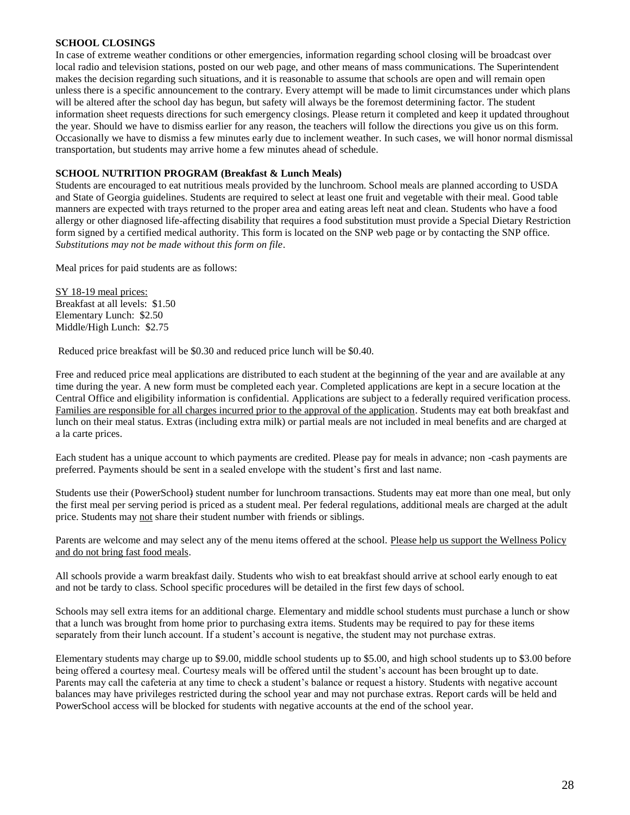#### **SCHOOL CLOSINGS**

In case of extreme weather conditions or other emergencies, information regarding school closing will be broadcast over local radio and television stations, posted on our web page, and other means of mass communications. The Superintendent makes the decision regarding such situations, and it is reasonable to assume that schools are open and will remain open unless there is a specific announcement to the contrary. Every attempt will be made to limit circumstances under which plans will be altered after the school day has begun, but safety will always be the foremost determining factor. The student information sheet requests directions for such emergency closings. Please return it completed and keep it updated throughout the year. Should we have to dismiss earlier for any reason, the teachers will follow the directions you give us on this form. Occasionally we have to dismiss a few minutes early due to inclement weather. In such cases, we will honor normal dismissal transportation, but students may arrive home a few minutes ahead of schedule.

#### **SCHOOL NUTRITION PROGRAM (Breakfast & Lunch Meals)**

Students are encouraged to eat nutritious meals provided by the lunchroom. School meals are planned according to USDA and State of Georgia guidelines. Students are required to select at least one fruit and vegetable with their meal. Good table manners are expected with trays returned to the proper area and eating areas left neat and clean. Students who have a food allergy or other diagnosed life-affecting disability that requires a food substitution must provide a Special Dietary Restriction form signed by a certified medical authority. This form is located on the SNP web page or by contacting the SNP office. *Substitutions may not be made without this form on file*.

Meal prices for paid students are as follows:

SY 18-19 meal prices: Breakfast at all levels: \$1.50 Elementary Lunch: \$2.50 Middle/High Lunch: \$2.75

Reduced price breakfast will be \$0.30 and reduced price lunch will be \$0.40.

Free and reduced price meal applications are distributed to each student at the beginning of the year and are available at any time during the year. A new form must be completed each year. Completed applications are kept in a secure location at the Central Office and eligibility information is confidential. Applications are subject to a federally required verification process. Families are responsible for all charges incurred prior to the approval of the application. Students may eat both breakfast and lunch on their meal status. Extras (including extra milk) or partial meals are not included in meal benefits and are charged at a la carte prices.

Each student has a unique account to which payments are credited. Please pay for meals in advance; non -cash payments are preferred. Payments should be sent in a sealed envelope with the student's first and last name.

Students use their (PowerSchool) student number for lunchroom transactions. Students may eat more than one meal, but only the first meal per serving period is priced as a student meal. Per federal regulations, additional meals are charged at the adult price. Students may not share their student number with friends or siblings.

Parents are welcome and may select any of the menu items offered at the school. Please help us support the Wellness Policy and do not bring fast food meals.

All schools provide a warm breakfast daily. Students who wish to eat breakfast should arrive at school early enough to eat and not be tardy to class. School specific procedures will be detailed in the first few days of school.

Schools may sell extra items for an additional charge. Elementary and middle school students must purchase a lunch or show that a lunch was brought from home prior to purchasing extra items. Students may be required to pay for these items separately from their lunch account. If a student's account is negative, the student may not purchase extras.

Elementary students may charge up to \$9.00, middle school students up to \$5.00, and high school students up to \$3.00 before being offered a courtesy meal. Courtesy meals will be offered until the student's account has been brought up to date. Parents may call the cafeteria at any time to check a student's balance or request a history. Students with negative account balances may have privileges restricted during the school year and may not purchase extras. Report cards will be held and PowerSchool access will be blocked for students with negative accounts at the end of the school year.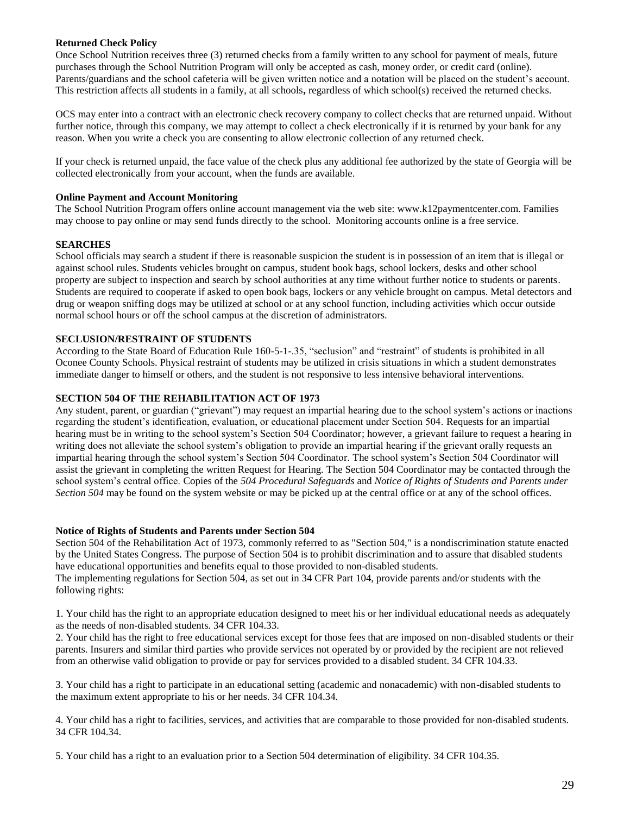### **Returned Check Policy**

Once School Nutrition receives three (3) returned checks from a family written to any school for payment of meals, future purchases through the School Nutrition Program will only be accepted as cash, money order, or credit card (online). Parents/guardians and the school cafeteria will be given written notice and a notation will be placed on the student's account. This restriction affects all students in a family, at all schools**,** regardless of which school(s) received the returned checks.

OCS may enter into a contract with an electronic check recovery company to collect checks that are returned unpaid. Without further notice, through this company, we may attempt to collect a check electronically if it is returned by your bank for any reason. When you write a check you are consenting to allow electronic collection of any returned check.

If your check is returned unpaid, the face value of the check plus any additional fee authorized by the state of Georgia will be collected electronically from your account, when the funds are available.

### **Online Payment and Account Monitoring**

The School Nutrition Program offers online account management via the web site: www.k12paymentcenter.com. Families may choose to pay online or may send funds directly to the school. Monitoring accounts online is a free service.

### **SEARCHES**

School officials may search a student if there is reasonable suspicion the student is in possession of an item that is illegal or against school rules. Students vehicles brought on campus, student book bags, school lockers, desks and other school property are subject to inspection and search by school authorities at any time without further notice to students or parents. Students are required to cooperate if asked to open book bags, lockers or any vehicle brought on campus. Metal detectors and drug or weapon sniffing dogs may be utilized at school or at any school function, including activities which occur outside normal school hours or off the school campus at the discretion of administrators.

#### **SECLUSION/RESTRAINT OF STUDENTS**

According to the State Board of Education Rule 160-5-1-.35, "seclusion" and "restraint" of students is prohibited in all Oconee County Schools. Physical restraint of students may be utilized in crisis situations in which a student demonstrates immediate danger to himself or others, and the student is not responsive to less intensive behavioral interventions.

### **SECTION 504 OF THE REHABILITATION ACT OF 1973**

Any student, parent, or guardian ("grievant") may request an impartial hearing due to the school system's actions or inactions regarding the student's identification, evaluation, or educational placement under Section 504. Requests for an impartial hearing must be in writing to the school system's Section 504 Coordinator; however, a grievant failure to request a hearing in writing does not alleviate the school system's obligation to provide an impartial hearing if the grievant orally requests an impartial hearing through the school system's Section 504 Coordinator. The school system's Section 504 Coordinator will assist the grievant in completing the written Request for Hearing. The Section 504 Coordinator may be contacted through the school system's central office. Copies of the *504 Procedural Safeguards* and *Notice of Rights of Students and Parents under Section 504* may be found on the system website or may be picked up at the central office or at any of the school offices.

#### **Notice of Rights of Students and Parents under Section 504**

Section 504 of the Rehabilitation Act of 1973, commonly referred to as "Section 504," is a nondiscrimination statute enacted by the United States Congress. The purpose of Section 504 is to prohibit discrimination and to assure that disabled students have educational opportunities and benefits equal to those provided to non-disabled students.

The implementing regulations for Section 504, as set out in 34 CFR Part 104, provide parents and/or students with the following rights:

1. Your child has the right to an appropriate education designed to meet his or her individual educational needs as adequately as the needs of non-disabled students. 34 CFR 104.33.

2. Your child has the right to free educational services except for those fees that are imposed on non-disabled students or their parents. Insurers and similar third parties who provide services not operated by or provided by the recipient are not relieved from an otherwise valid obligation to provide or pay for services provided to a disabled student. 34 CFR 104.33.

3. Your child has a right to participate in an educational setting (academic and nonacademic) with non-disabled students to the maximum extent appropriate to his or her needs. 34 CFR 104.34.

4. Your child has a right to facilities, services, and activities that are comparable to those provided for non-disabled students. 34 CFR 104.34.

5. Your child has a right to an evaluation prior to a Section 504 determination of eligibility. 34 CFR 104.35.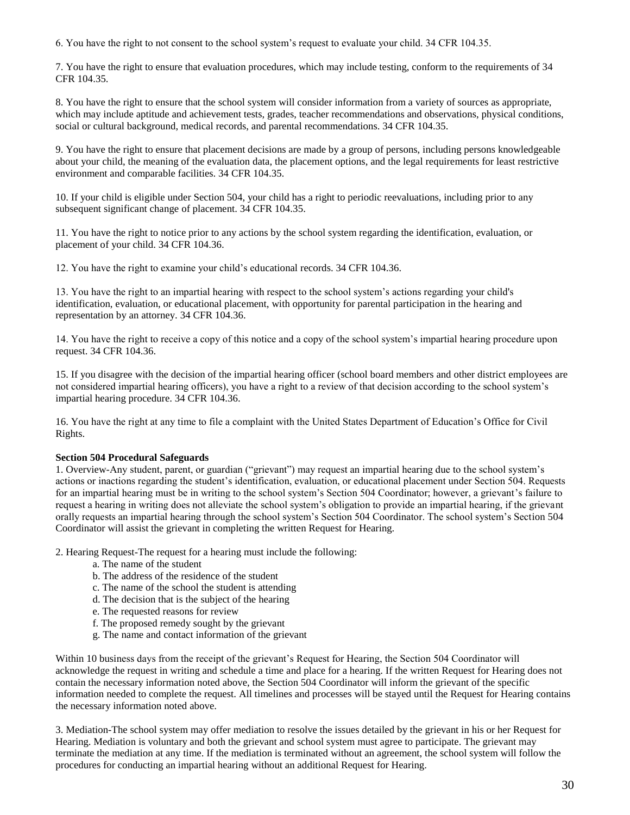6. You have the right to not consent to the school system's request to evaluate your child. 34 CFR 104.35.

7. You have the right to ensure that evaluation procedures, which may include testing, conform to the requirements of 34 CFR 104.35.

8. You have the right to ensure that the school system will consider information from a variety of sources as appropriate, which may include aptitude and achievement tests, grades, teacher recommendations and observations, physical conditions, social or cultural background, medical records, and parental recommendations. 34 CFR 104.35.

9. You have the right to ensure that placement decisions are made by a group of persons, including persons knowledgeable about your child, the meaning of the evaluation data, the placement options, and the legal requirements for least restrictive environment and comparable facilities. 34 CFR 104.35*.* 

10. If your child is eligible under Section 504, your child has a right to periodic reevaluations, including prior to any subsequent significant change of placement. 34 CFR 104.35.

11. You have the right to notice prior to any actions by the school system regarding the identification, evaluation, or placement of your child. 34 CFR 104.36*.* 

12. You have the right to examine your child's educational records. 34 CFR 104.36.

13. You have the right to an impartial hearing with respect to the school system's actions regarding your child's identification, evaluation, or educational placement, with opportunity for parental participation in the hearing and representation by an attorney. 34 CFR 104.36.

14. You have the right to receive a copy of this notice and a copy of the school system's impartial hearing procedure upon request. 34 CFR 104.36.

15. If you disagree with the decision of the impartial hearing officer (school board members and other district employees are not considered impartial hearing officers), you have a right to a review of that decision according to the school system's impartial hearing procedure. 34 CFR 104.36.

16. You have the right at any time to file a complaint with the United States Department of Education's Office for Civil Rights.

### **Section 504 Procedural Safeguards**

1. Overview-Any student, parent, or guardian ("grievant") may request an impartial hearing due to the school system's actions or inactions regarding the student's identification, evaluation, or educational placement under Section 504. Requests for an impartial hearing must be in writing to the school system's Section 504 Coordinator; however, a grievant's failure to request a hearing in writing does not alleviate the school system's obligation to provide an impartial hearing, if the grievant orally requests an impartial hearing through the school system's Section 504 Coordinator. The school system's Section 504 Coordinator will assist the grievant in completing the written Request for Hearing.

2. Hearing Request-The request for a hearing must include the following:

- a. The name of the student
- b. The address of the residence of the student
- c. The name of the school the student is attending
- d. The decision that is the subject of the hearing
- e. The requested reasons for review
- f. The proposed remedy sought by the grievant
- g. The name and contact information of the grievant

Within 10 business days from the receipt of the grievant's Request for Hearing, the Section 504 Coordinator will acknowledge the request in writing and schedule a time and place for a hearing. If the written Request for Hearing does not contain the necessary information noted above, the Section 504 Coordinator will inform the grievant of the specific information needed to complete the request. All timelines and processes will be stayed until the Request for Hearing contains the necessary information noted above.

3. Mediation-The school system may offer mediation to resolve the issues detailed by the grievant in his or her Request for Hearing. Mediation is voluntary and both the grievant and school system must agree to participate. The grievant may terminate the mediation at any time. If the mediation is terminated without an agreement, the school system will follow the procedures for conducting an impartial hearing without an additional Request for Hearing.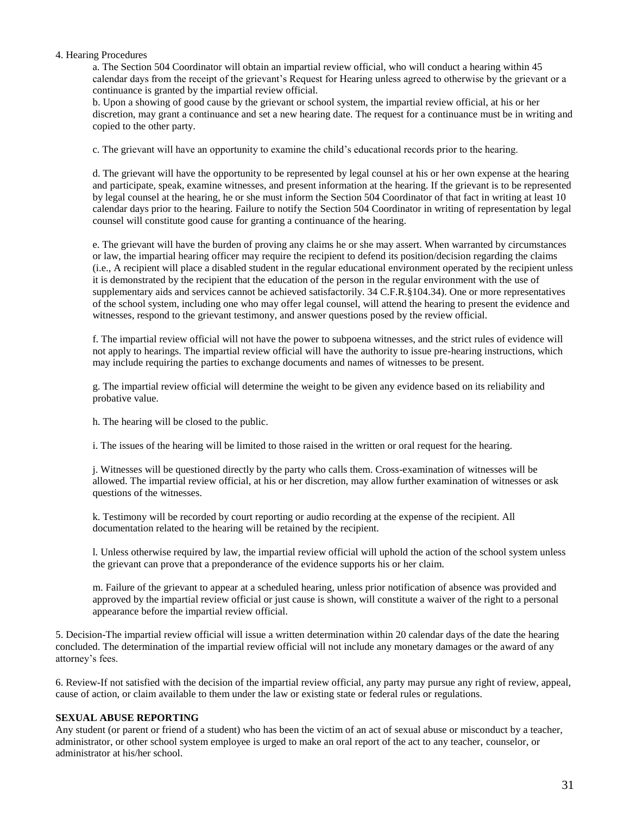#### 4. Hearing Procedures

a. The Section 504 Coordinator will obtain an impartial review official, who will conduct a hearing within 45 calendar days from the receipt of the grievant's Request for Hearing unless agreed to otherwise by the grievant or a continuance is granted by the impartial review official.

b. Upon a showing of good cause by the grievant or school system, the impartial review official, at his or her discretion, may grant a continuance and set a new hearing date. The request for a continuance must be in writing and copied to the other party.

c. The grievant will have an opportunity to examine the child's educational records prior to the hearing.

d. The grievant will have the opportunity to be represented by legal counsel at his or her own expense at the hearing and participate, speak, examine witnesses, and present information at the hearing. If the grievant is to be represented by legal counsel at the hearing, he or she must inform the Section 504 Coordinator of that fact in writing at least 10 calendar days prior to the hearing. Failure to notify the Section 504 Coordinator in writing of representation by legal counsel will constitute good cause for granting a continuance of the hearing.

e. The grievant will have the burden of proving any claims he or she may assert. When warranted by circumstances or law, the impartial hearing officer may require the recipient to defend its position/decision regarding the claims (i.e., A recipient will place a disabled student in the regular educational environment operated by the recipient unless it is demonstrated by the recipient that the education of the person in the regular environment with the use of supplementary aids and services cannot be achieved satisfactorily. 34 C.F.R.§104.34). One or more representatives of the school system, including one who may offer legal counsel, will attend the hearing to present the evidence and witnesses, respond to the grievant testimony, and answer questions posed by the review official.

f. The impartial review official will not have the power to subpoena witnesses, and the strict rules of evidence will not apply to hearings. The impartial review official will have the authority to issue pre-hearing instructions, which may include requiring the parties to exchange documents and names of witnesses to be present.

g. The impartial review official will determine the weight to be given any evidence based on its reliability and probative value.

h. The hearing will be closed to the public.

i. The issues of the hearing will be limited to those raised in the written or oral request for the hearing.

j. Witnesses will be questioned directly by the party who calls them. Cross-examination of witnesses will be allowed. The impartial review official, at his or her discretion, may allow further examination of witnesses or ask questions of the witnesses.

k. Testimony will be recorded by court reporting or audio recording at the expense of the recipient. All documentation related to the hearing will be retained by the recipient.

l. Unless otherwise required by law, the impartial review official will uphold the action of the school system unless the grievant can prove that a preponderance of the evidence supports his or her claim.

m. Failure of the grievant to appear at a scheduled hearing, unless prior notification of absence was provided and approved by the impartial review official or just cause is shown, will constitute a waiver of the right to a personal appearance before the impartial review official.

5. Decision-The impartial review official will issue a written determination within 20 calendar days of the date the hearing concluded. The determination of the impartial review official will not include any monetary damages or the award of any attorney's fees.

6. Review-If not satisfied with the decision of the impartial review official, any party may pursue any right of review, appeal, cause of action, or claim available to them under the law or existing state or federal rules or regulations.

### **SEXUAL ABUSE REPORTING**

Any student (or parent or friend of a student) who has been the victim of an act of sexual abuse or misconduct by a teacher, administrator, or other school system employee is urged to make an oral report of the act to any teacher, counselor, or administrator at his/her school.